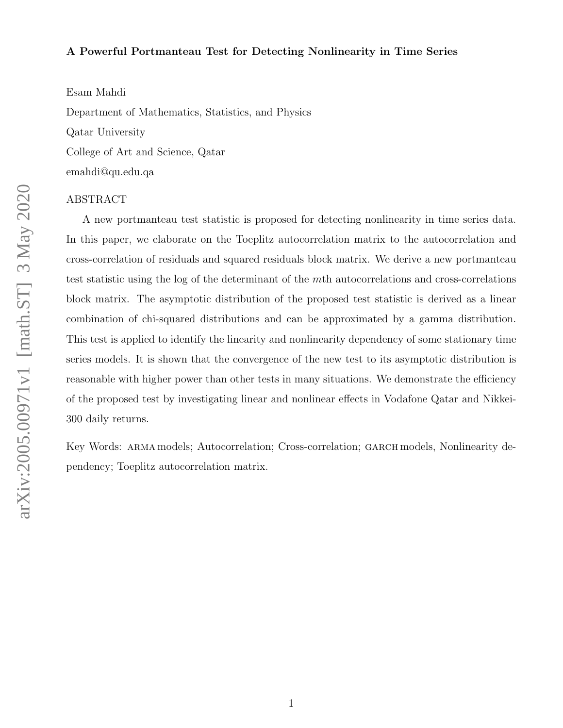#### A Powerful Portmanteau Test for Detecting Nonlinearity in Time Series

Esam Mahdi Department of Mathematics, Statistics, and Physics Qatar University College of Art and Science, Qatar emahdi@qu.edu.qa

#### ABSTRACT

A new portmanteau test statistic is proposed for detecting nonlinearity in time series data. In this paper, we elaborate on the Toeplitz autocorrelation matrix to the autocorrelation and cross-correlation of residuals and squared residuals block matrix. We derive a new portmanteau test statistic using the log of the determinant of the mth autocorrelations and cross-correlations block matrix. The asymptotic distribution of the proposed test statistic is derived as a linear combination of chi-squared distributions and can be approximated by a gamma distribution. This test is applied to identify the linearity and nonlinearity dependency of some stationary time series models. It is shown that the convergence of the new test to its asymptotic distribution is reasonable with higher power than other tests in many situations. We demonstrate the efficiency of the proposed test by investigating linear and nonlinear effects in Vodafone Qatar and Nikkei-300 daily returns.

Key Words: ARMA models; Autocorrelation; Cross-correlation; GARCH models, Nonlinearity dependency; Toeplitz autocorrelation matrix.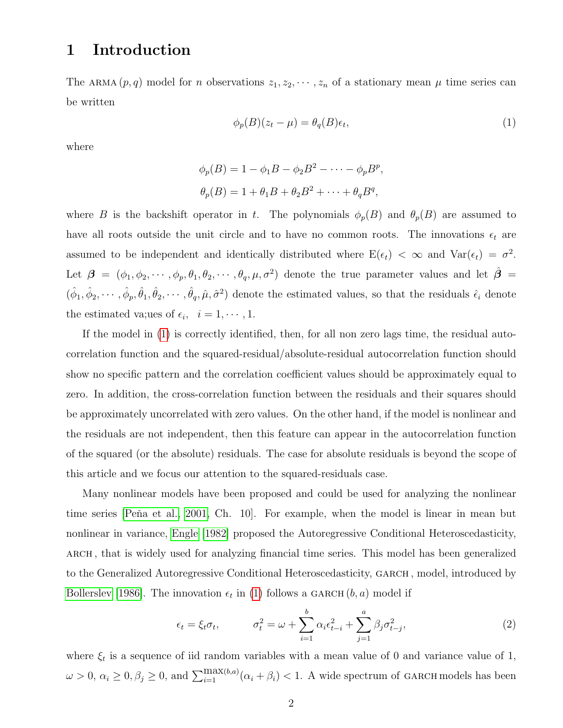# 1 Introduction

The ARMA  $(p, q)$  model for *n* observations  $z_1, z_2, \dots, z_n$  of a stationary mean  $\mu$  time series can be written

<span id="page-1-0"></span>
$$
\phi_p(B)(z_t - \mu) = \theta_q(B)\epsilon_t,\tag{1}
$$

,

where

$$
\phi_p(B) = 1 - \phi_1 B - \phi_2 B^2 - \dots - \phi_p B^p
$$

$$
\theta_p(B) = 1 + \theta_1 B + \theta_2 B^2 + \dots + \theta_q B^q,
$$

where B is the backshift operator in t. The polynomials  $\phi_p(B)$  and  $\theta_p(B)$  are assumed to have all roots outside the unit circle and to have no common roots. The innovations  $\epsilon_t$  are assumed to be independent and identically distributed where  $E(\epsilon_t) < \infty$  and  $Var(\epsilon_t) = \sigma^2$ . Let  $\beta = (\phi_1, \phi_2, \cdots, \phi_p, \theta_1, \theta_2, \cdots, \theta_q, \mu, \sigma^2)$  denote the true parameter values and let  $\hat{\beta}$  $(\hat{\phi}_1, \hat{\phi}_2, \cdots, \hat{\phi}_p, \hat{\theta}_1, \hat{\theta}_2, \cdots, \hat{\theta}_q, \hat{\mu}, \hat{\sigma}^2)$  denote the estimated values, so that the residuals  $\hat{\epsilon}_i$  denote the estimated va;ues of  $\epsilon_i$ ,  $i = 1, \dots, 1$ .

If the model in [\(1\)](#page-1-0) is correctly identified, then, for all non zero lags time, the residual autocorrelation function and the squared-residual/absolute-residual autocorrelation function should show no specific pattern and the correlation coefficient values should be approximately equal to zero. In addition, the cross-correlation function between the residuals and their squares should be approximately uncorrelated with zero values. On the other hand, if the model is nonlinear and the residuals are not independent, then this feature can appear in the autocorrelation function of the squared (or the absolute) residuals. The case for absolute residuals is beyond the scope of this article and we focus our attention to the squared-residuals case.

Many nonlinear models have been proposed and could be used for analyzing the nonlinear time series [Peňa et al., 2001, Ch. 10]. For example, when the model is linear in mean but nonlinear in variance, [Engle \[1982\]](#page-32-0) proposed the Autoregressive Conditional Heteroscedasticity, arch , that is widely used for analyzing financial time series. This model has been generalized to the Generalized Autoregressive Conditional Heteroscedasticity, garch , model, introduced by [Bollerslev \[1986\]](#page-31-0). The innovation  $\epsilon_t$  in [\(1\)](#page-1-0) follows a GARCH  $(b, a)$  model if

<span id="page-1-1"></span>
$$
\epsilon_t = \xi_t \sigma_t, \qquad \sigma_t^2 = \omega + \sum_{i=1}^b \alpha_i \epsilon_{t-i}^2 + \sum_{j=1}^a \beta_j \sigma_{t-j}^2,\tag{2}
$$

where  $\xi_t$  is a sequence of iid random variables with a mean value of 0 and variance value of 1,  $\omega > 0$ ,  $\alpha_i \geq 0$ ,  $\beta_j \geq 0$ , and  $\sum_{i=1}^{\max(b,a)} (\alpha_i + \beta_i) < 1$ . A wide spectrum of GARCH models has been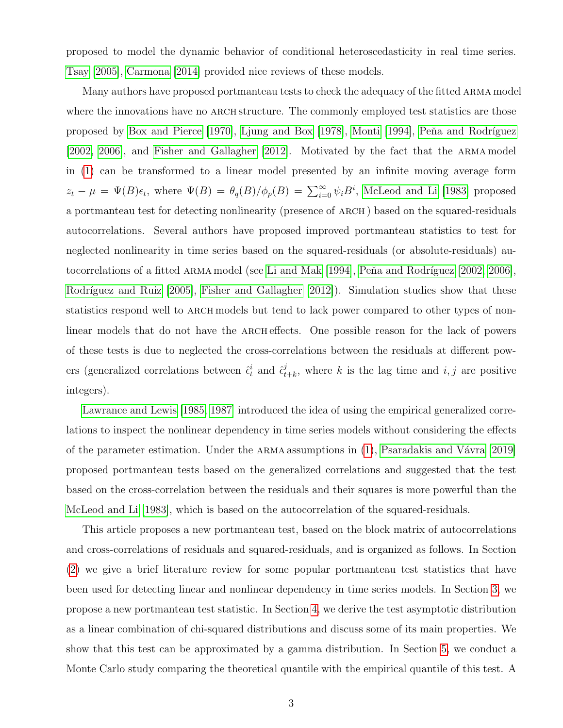proposed to model the dynamic behavior of conditional heteroscedasticity in real time series. [Tsay \[2005\]](#page-34-0), [Carmona \[2014\]](#page-32-1) provided nice reviews of these models.

Many authors have proposed portmanteau tests to check the adequacy of the fitted arma model where the innovations have no ARCH structure. The commonly employed test statistics are those proposed by [Box and Pierce \[1970\]](#page-32-2), [Ljung and Box \[1978\]](#page-32-3), [Monti \[1994\]](#page-33-1), Peňa and Rodríguez [\[2002,](#page-33-2) [2006\]](#page-33-3), and [Fisher and Gallagher \[2012\]](#page-32-4). Motivated by the fact that the ARMA model in [\(1\)](#page-1-0) can be transformed to a linear model presented by an infinite moving average form  $z_t - \mu = \Psi(B)\epsilon_t$ , where  $\Psi(B) = \theta_q(B)/\phi_p(B) = \sum_{i=0}^{\infty} \psi_i B^i$ , [McLeod and Li \[1983\]](#page-33-4) proposed a portmanteau test for detecting nonlinearity (presence of ARCH) based on the squared-residuals autocorrelations. Several authors have proposed improved portmanteau statistics to test for neglected nonlinearity in time series based on the squared-residuals (or absolute-residuals) au-tocorrelations of a fitted ARMA model (see [Li and Mak \[1994\]](#page-32-5), Peña and Rodríguez [2002, [2006\]](#page-33-3), Rodríguez and Ruiz  $[2005]$ , Fisher and Gallagher  $[2012]$ ). Simulation studies show that these statistics respond well to ARCH models but tend to lack power compared to other types of nonlinear models that do not have the ARCH effects. One possible reason for the lack of powers of these tests is due to neglected the cross-correlations between the residuals at different powers (generalized correlations between  $\hat{\epsilon}_t^i$  and  $\hat{\epsilon}_t^j$  $t_{t+k}^{j}$ , where k is the lag time and  $i, j$  are positive integers).

[Lawrance and Lewis \[1985,](#page-32-6) [1987\]](#page-32-7) introduced the idea of using the empirical generalized correlations to inspect the nonlinear dependency in time series models without considering the effects of the parameter estimation. Under the ARMA assumptions in  $(1)$ , Psaradakis and Vávra [2019] proposed portmanteau tests based on the generalized correlations and suggested that the test based on the cross-correlation between the residuals and their squares is more powerful than the [McLeod and Li \[1983\]](#page-33-4), which is based on the autocorrelation of the squared-residuals.

This article proposes a new portmanteau test, based on the block matrix of autocorrelations and cross-correlations of residuals and squared-residuals, and is organized as follows. In Section [\(2\)](#page-3-0) we give a brief literature review for some popular portmanteau test statistics that have been used for detecting linear and nonlinear dependency in time series models. In Section [3,](#page-7-0) we propose a new portmanteau test statistic. In Section [4,](#page-9-0) we derive the test asymptotic distribution as a linear combination of chi-squared distributions and discuss some of its main properties. We show that this test can be approximated by a gamma distribution. In Section [5,](#page-12-0) we conduct a Monte Carlo study comparing the theoretical quantile with the empirical quantile of this test. A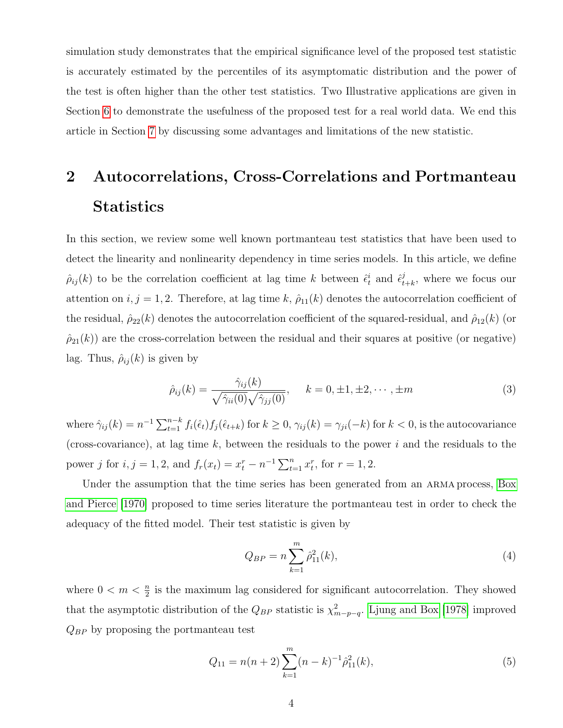simulation study demonstrates that the empirical significance level of the proposed test statistic is accurately estimated by the percentiles of its asymptomatic distribution and the power of the test is often higher than the other test statistics. Two Illustrative applications are given in Section [6](#page-25-0) to demonstrate the usefulness of the proposed test for a real world data. We end this article in Section [7](#page-29-0) by discussing some advantages and limitations of the new statistic.

# <span id="page-3-0"></span>2 Autocorrelations, Cross-Correlations and Portmanteau **Statistics**

In this section, we review some well known portmanteau test statistics that have been used to detect the linearity and nonlinearity dependency in time series models. In this article, we define  $\hat{\rho}_{ij}(k)$  to be the correlation coefficient at lag time k between  $\hat{\epsilon}_t^i$  and  $\hat{\epsilon}_t^j$  $_{t+k}^{j}$ , where we focus our attention on  $i, j = 1, 2$ . Therefore, at lag time k,  $\hat{\rho}_{11}(k)$  denotes the autocorrelation coefficient of the residual,  $\hat{\rho}_{22}(k)$  denotes the autocorrelation coefficient of the squared-residual, and  $\hat{\rho}_{12}(k)$  (or  $\hat{\rho}_{21}(k)$  are the cross-correlation between the residual and their squares at positive (or negative) lag. Thus,  $\hat{\rho}_{ij}(k)$  is given by

<span id="page-3-2"></span>
$$
\hat{\rho}_{ij}(k) = \frac{\hat{\gamma}_{ij}(k)}{\sqrt{\hat{\gamma}_{ii}(0)}\sqrt{\hat{\gamma}_{jj}(0)}}, \quad k = 0, \pm 1, \pm 2, \cdots, \pm m
$$
\n(3)

where  $\hat{\gamma}_{ij}(k) = n^{-1} \sum_{t=1}^{n-k} f_i(\hat{\epsilon}_t) f_j(\hat{\epsilon}_{t+k})$  for  $k \ge 0$ ,  $\gamma_{ij}(k) = \gamma_{ji}(-k)$  for  $k < 0$ , is the autocovariance (cross-covariance), at lag time  $k$ , between the residuals to the power i and the residuals to the power j for  $i, j = 1, 2$ , and  $f_r(x_t) = x_t^r - n^{-1} \sum_{t=1}^n x_t^r$ , for  $r = 1, 2$ .

Under the assumption that the time series has been generated from an ARMA process, [Box](#page-32-2) [and Pierce \[1970\]](#page-32-2) proposed to time series literature the portmanteau test in order to check the adequacy of the fitted model. Their test statistic is given by

$$
Q_{BP} = n \sum_{k=1}^{m} \hat{\rho}_{11}^2(k),\tag{4}
$$

where  $0 < m < \frac{n}{2}$  is the maximum lag considered for significant autocorrelation. They showed that the asymptotic distribution of the  $Q_{BP}$  statistic is  $\chi^2_{m-p-q}$ . [Ljung and Box \[1978\]](#page-32-3) improved  $Q_{BP}$  by proposing the portmanteau test

<span id="page-3-1"></span>
$$
Q_{11} = n(n+2) \sum_{k=1}^{m} (n-k)^{-1} \hat{\rho}_{11}^{2}(k), \qquad (5)
$$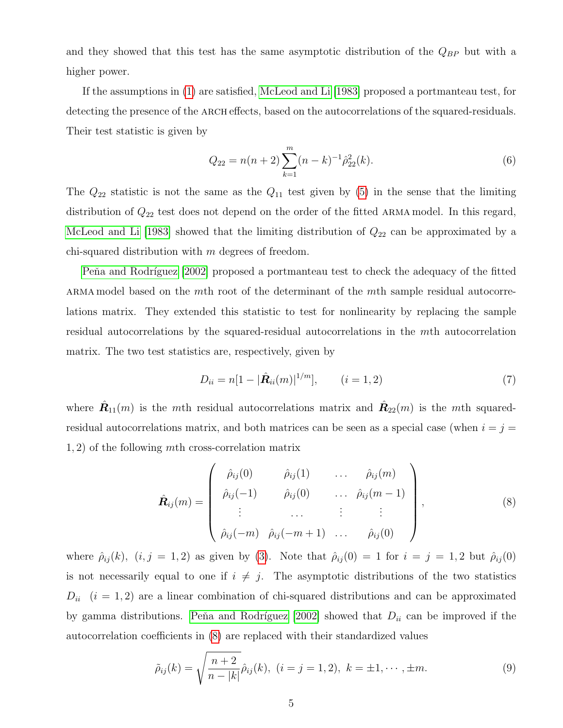and they showed that this test has the same asymptotic distribution of the  $Q_{BP}$  but with a higher power.

If the assumptions in [\(1\)](#page-1-0) are satisfied, [McLeod and Li \[1983\]](#page-33-4) proposed a portmanteau test, for detecting the presence of the ARCH effects, based on the autocorrelations of the squared-residuals. Their test statistic is given by

<span id="page-4-1"></span>
$$
Q_{22} = n(n+2) \sum_{k=1}^{m} (n-k)^{-1} \hat{\rho}_{22}^2(k).
$$
 (6)

The  $Q_{22}$  statistic is not the same as the  $Q_{11}$  test given by [\(5\)](#page-3-1) in the sense that the limiting distribution of  $Q_{22}$  test does not depend on the order of the fitted ARMA model. In this regard, [McLeod and Li \[1983\]](#page-33-4) showed that the limiting distribution of  $Q_{22}$  can be approximated by a chi-squared distribution with  $m$  degrees of freedom.

Peňa and Rodríguez [2002] proposed a portmanteau test to check the adequacy of the fitted ARMA model based on the mth root of the determinant of the mth sample residual autocorrelations matrix. They extended this statistic to test for nonlinearity by replacing the sample residual autocorrelations by the squared-residual autocorrelations in the mth autocorrelation matrix. The two test statistics are, respectively, given by

$$
D_{ii} = n[1 - |\hat{\mathbf{R}}_{ii}(m)|^{1/m}], \qquad (i = 1, 2)
$$
\n(7)

where  $\hat{\mathbf{R}}_{11}(m)$  is the mth residual autocorrelations matrix and  $\hat{\mathbf{R}}_{22}(m)$  is the mth squaredresidual autocorrelations matrix, and both matrices can be seen as a special case (when  $i = j =$ 1, 2) of the following mth cross-correlation matrix

<span id="page-4-0"></span>
$$
\hat{\mathbf{R}}_{ij}(m) = \begin{pmatrix} \hat{\rho}_{ij}(0) & \hat{\rho}_{ij}(1) & \dots & \hat{\rho}_{ij}(m) \\ \hat{\rho}_{ij}(-1) & \hat{\rho}_{ij}(0) & \dots & \hat{\rho}_{ij}(m-1) \\ \vdots & \dots & \vdots & \vdots \\ \hat{\rho}_{ij}(-m) & \hat{\rho}_{ij}(-m+1) & \dots & \hat{\rho}_{ij}(0) \end{pmatrix},
$$
\n(8)

where  $\hat{\rho}_{ij}(k)$ ,  $(i, j = 1, 2)$  as given by [\(3\)](#page-3-2). Note that  $\hat{\rho}_{ij}(0) = 1$  for  $i = j = 1, 2$  but  $\hat{\rho}_{ij}(0)$ is not necessarily equal to one if  $i \neq j$ . The asymptotic distributions of the two statistics  $D_{ii}$  (i = 1, 2) are a linear combination of chi-squared distributions and can be approximated by gamma distributions. Peňa and Rodríguez [2002] showed that  $D_{ii}$  can be improved if the autocorrelation coefficients in [\(8\)](#page-4-0) are replaced with their standardized values

$$
\tilde{\rho}_{ij}(k) = \sqrt{\frac{n+2}{n-|k|}} \hat{\rho}_{ij}(k), \ (i=j=1,2), \ k = \pm 1, \cdots, \pm m. \tag{9}
$$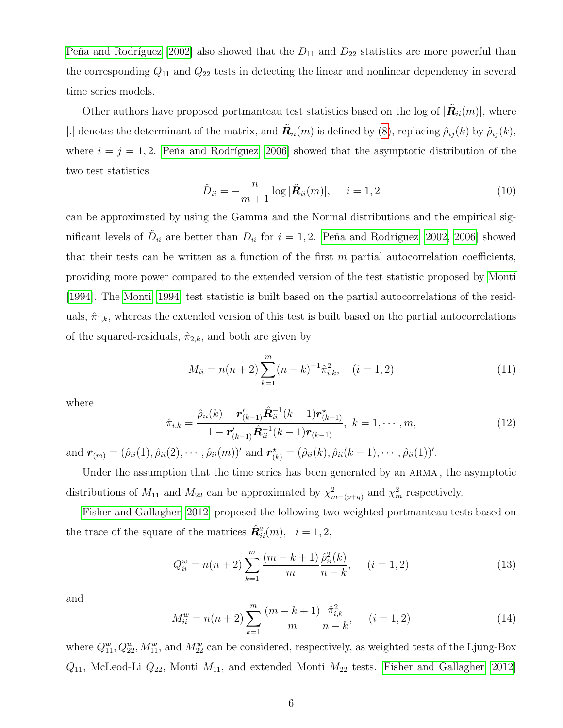Peňa and Rodríguez [2002] also showed that the  $D_{11}$  and  $D_{22}$  statistics are more powerful than the corresponding  $Q_{11}$  and  $Q_{22}$  tests in detecting the linear and nonlinear dependency in several time series models.

Other authors have proposed portmanteau test statistics based on the log of  $|\tilde{\mathbf{R}}_{ii}(m)|$ , where |.| denotes the determinant of the matrix, and  $\tilde{\mathbf{R}}_{ii}(m)$  is defined by [\(8\)](#page-4-0), replacing  $\hat{\rho}_{ij}(k)$  by  $\tilde{\rho}_{ij}(k)$ , where  $i = j = 1, 2$ . Peňa and Rodríguez [2006] showed that the asymptotic distribution of the two test statistics

<span id="page-5-3"></span>
$$
\tilde{D}_{ii} = -\frac{n}{m+1} \log |\tilde{\bm{R}}_{ii}(m)|, \quad i = 1, 2
$$
\n(10)

can be approximated by using the Gamma and the Normal distributions and the empirical significant levels of  $\tilde{D}_{ii}$  are better than  $D_{ii}$  for  $i = 1, 2$ . Peňa and Rodríguez [2002, [2006\]](#page-33-3) showed that their tests can be written as a function of the first  $m$  partial autocorrelation coefficients, providing more power compared to the extended version of the test statistic proposed by [Monti](#page-33-1) [\[1994\]](#page-33-1). The [Monti \[1994\]](#page-33-1) test statistic is built based on the partial autocorrelations of the residuals,  $\hat{\pi}_{1,k}$ , whereas the extended version of this test is built based on the partial autocorrelations of the squared-residuals,  $\hat{\pi}_{2,k}$ , and both are given by

$$
M_{ii} = n(n+2) \sum_{k=1}^{m} (n-k)^{-1} \hat{\pi}_{i,k}^2, \quad (i = 1, 2)
$$
 (11)

where

<span id="page-5-0"></span>
$$
\hat{\pi}_{i,k} = \frac{\hat{\rho}_{ii}(k) - \mathbf{r}'_{(k-1)} \hat{\mathbf{R}}_{ii}^{-1}(k-1) \mathbf{r}^{\star}_{(k-1)}}{1 - \mathbf{r}'_{(k-1)} \hat{\mathbf{R}}_{ii}^{-1}(k-1) \mathbf{r}_{(k-1)}}, \ k = 1, \cdots, m,
$$
\n(12)

and  $\mathbf{r}_{(m)} = (\hat{\rho}_{ii}(1), \hat{\rho}_{ii}(2), \cdots, \hat{\rho}_{ii}(m))'$  and  $\mathbf{r}_{(k)}^{\star} = (\hat{\rho}_{ii}(k), \hat{\rho}_{ii}(k-1), \cdots, \hat{\rho}_{ii}(1))'.$ 

Under the assumption that the time series has been generated by an ARMA, the asymptotic distributions of  $M_{11}$  and  $M_{22}$  can be approximated by  $\chi^2_{m-(p+q)}$  and  $\chi^2_m$  respectively.

[Fisher and Gallagher \[2012\]](#page-32-4) proposed the following two weighted portmanteau tests based on the trace of the square of the matrices  $\hat{\mathbf{R}}_{ii}^2(m)$ ,  $i = 1, 2$ ,

<span id="page-5-1"></span>
$$
Q_{ii}^w = n(n+2) \sum_{k=1}^m \frac{(m-k+1)}{m} \frac{\hat{\rho}_{ii}^2(k)}{n-k}, \quad (i = 1, 2)
$$
 (13)

and

<span id="page-5-2"></span>
$$
M_{ii}^w = n(n+2) \sum_{k=1}^m \frac{(m-k+1)}{m} \frac{\hat{\pi}_{i,k}^2}{n-k}, \quad (i = 1, 2)
$$
 (14)

where  $Q_{11}^w, Q_{22}^w, M_{11}^w$ , and  $M_{22}^w$  can be considered, respectively, as weighted tests of the Ljung-Box  $Q_{11}$ , McLeod-Li  $Q_{22}$ , Monti  $M_{11}$ , and extended Monti  $M_{22}$  tests. [Fisher and Gallagher \[2012\]](#page-32-4)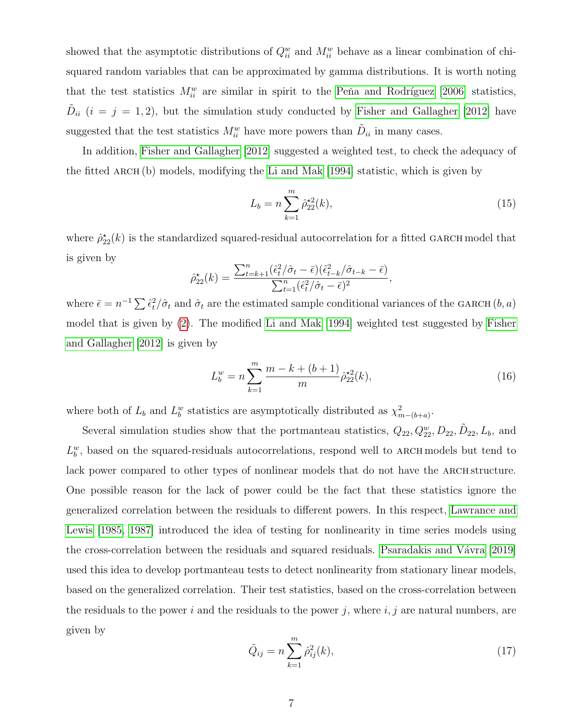showed that the asymptotic distributions of  $Q_{ii}^w$  and  $M_{ii}^w$  behave as a linear combination of chisquared random variables that can be approximated by gamma distributions. It is worth noting that the test statistics  $M_{ii}^w$  are similar in spirit to the Peña and Rodríguez [2006] statistics,  $\tilde{D}_{ii}$  (i = j = 1, 2), but the simulation study conducted by [Fisher and Gallagher \[2012\]](#page-32-4) have suggested that the test statistics  $M_{ii}^w$  have more powers than  $\tilde{D}_{ii}$  in many cases.

In addition, [Fisher and Gallagher \[2012\]](#page-32-4) suggested a weighted test, to check the adequacy of the fitted ARCH  $(b)$  models, modifying the [Li and Mak \[1994\]](#page-32-5) statistic, which is given by

<span id="page-6-0"></span>
$$
L_b = n \sum_{k=1}^{m} \hat{\rho}_{22}^{\star 2}(k),\tag{15}
$$

where  $\hat{\rho}_{22}^{\star}(k)$  is the standardized squared-residual autocorrelation for a fitted GARCH model that is given by

$$
\hat{\rho}_{22}^{\star}(k) = \frac{\sum_{t=k+1}^{n} (\hat{\epsilon}_t^2/\hat{\sigma}_t - \bar{\epsilon})(\hat{\epsilon}_{t-k}^2/\hat{\sigma}_{t-k} - \bar{\epsilon})}{\sum_{t=1}^{n} (\hat{\epsilon}_t^2/\hat{\sigma}_t - \bar{\epsilon})^2},
$$

where  $\bar{\epsilon} = n^{-1} \sum \hat{\epsilon}_t^2 / \hat{\sigma}_t$  and  $\hat{\sigma}_t$  are the estimated sample conditional variances of the GARCH  $(b, a)$ model that is given by [\(2\)](#page-1-1). The modified [Li and Mak \[1994\]](#page-32-5) weighted test suggested by [Fisher](#page-32-4) [and Gallagher \[2012\]](#page-32-4) is given by

<span id="page-6-1"></span>
$$
L_b^w = n \sum_{k=1}^m \frac{m - k + (b+1)}{m} \hat{\rho}_{22}^{\star 2}(k),\tag{16}
$$

where both of  $L_b$  and  $L_b^w$  statistics are asymptotically distributed as  $\chi^2_{m-(b+a)}$ .

Several simulation studies show that the portmanteau statistics,  $Q_{22}, Q_{22}^w, D_{22}, \tilde{D}_{22}, L_b$ , and  $L_b^w$ , based on the squared-residuals autocorrelations, respond well to ARCH models but tend to lack power compared to other types of nonlinear models that do not have the ARCH structure. One possible reason for the lack of power could be the fact that these statistics ignore the generalized correlation between the residuals to different powers. In this respect, [Lawrance and](#page-32-6) [Lewis \[1985,](#page-32-6) [1987\]](#page-32-7) introduced the idea of testing for nonlinearity in time series models using the cross-correlation between the residuals and squared residuals. Psaradakis and Vávra [2019] used this idea to develop portmanteau tests to detect nonlinearity from stationary linear models, based on the generalized correlation. Their test statistics, based on the cross-correlation between the residuals to the power i and the residuals to the power j, where  $i, j$  are natural numbers, are given by

$$
\tilde{Q}_{ij} = n \sum_{k=1}^{m} \hat{\rho}_{ij}^2(k),
$$
\n(17)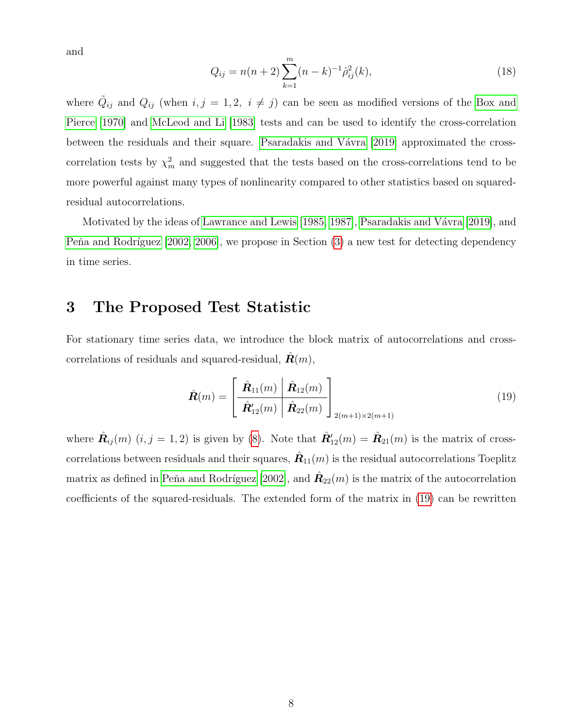and

<span id="page-7-2"></span>
$$
Q_{ij} = n(n+2) \sum_{k=1}^{m} (n-k)^{-1} \hat{\rho}_{ij}^{2}(k), \qquad (18)
$$

where  $\tilde{Q}_{ij}$  and  $Q_{ij}$  (when  $i, j = 1, 2, i \neq j$ ) can be seen as modified versions of the [Box and](#page-32-2) [Pierce \[1970\]](#page-32-2) and [McLeod and Li \[1983\]](#page-33-4) tests and can be used to identify the cross-correlation between the residuals and their square. Psaradakis and V $\acute{\text{a}}$ vra [2019] approximated the crosscorrelation tests by  $\chi^2_m$  and suggested that the tests based on the cross-correlations tend to be more powerful against many types of nonlinearity compared to other statistics based on squaredresidual autocorrelations.

Motivated by the ideas of [Lawrance and Lewis \[1985,](#page-32-6) [1987\]](#page-32-7), Psaradakis and Vávra [2019], and Peňa and Rodríguez  $[2002, 2006]$  $[2002, 2006]$ , we propose in Section  $(3)$  a new test for detecting dependency in time series.

# <span id="page-7-0"></span>3 The Proposed Test Statistic

For stationary time series data, we introduce the block matrix of autocorrelations and crosscorrelations of residuals and squared-residual,  $\mathbf{R}(m)$ ,

<span id="page-7-1"></span>
$$
\hat{\boldsymbol{R}}(m) = \left[\begin{array}{c|c}\hat{\boldsymbol{R}}_{11}(m) & \hat{\boldsymbol{R}}_{12}(m) \\
\hline \hat{\boldsymbol{R}}'_{12}(m) & \hat{\boldsymbol{R}}_{22}(m)\end{array}\right]_{2(m+1)\times 2(m+1)}
$$
(19)

where  $\hat{\mathbf{R}}_{ij}(m)$   $(i, j = 1, 2)$  is given by [\(8\)](#page-4-0). Note that  $\hat{\mathbf{R}}'_{12}(m) = \hat{\mathbf{R}}_{21}(m)$  is the matrix of crosscorrelations between residuals and their squares,  $\hat{\bm{R}}_{11}(m)$  is the residual autocorrelations Toeplitz matrix as defined in Peňa and Rodríguez [2002], and  $\hat{\mathbf{R}}_{22}(m)$  is the matrix of the autocorrelation coefficients of the squared-residuals. The extended form of the matrix in [\(19\)](#page-7-1) can be rewritten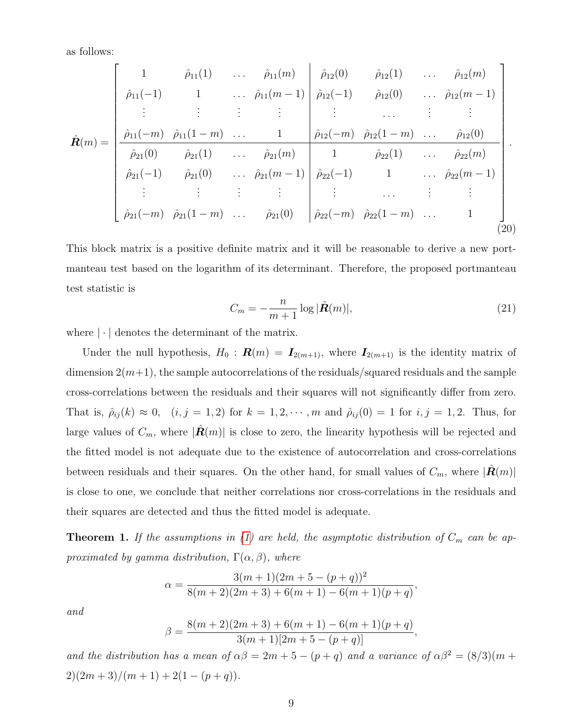as follows:

$$
\hat{\mathbf{R}}(m) = \begin{bmatrix}\n1 & \hat{\rho}_{11}(1) & \dots & \hat{\rho}_{11}(m) & \hat{\rho}_{12}(0) & \hat{\rho}_{12}(1) & \dots & \hat{\rho}_{12}(m) \\
\hat{\rho}_{11}(-1) & 1 & \dots & \hat{\rho}_{11}(m-1) & \hat{\rho}_{12}(-1) & \hat{\rho}_{12}(0) & \dots & \hat{\rho}_{12}(m-1) \\
\vdots & \vdots & \vdots & \vdots & \vdots & \dots & \vdots & \vdots \\
\hat{\rho}_{11}(-m) & \hat{\rho}_{11}(1-m) & \dots & 1 & \hat{\rho}_{12}(-m) & \hat{\rho}_{12}(1-m) & \dots & \hat{\rho}_{12}(0) \\
\hat{\rho}_{21}(0) & \hat{\rho}_{21}(1) & \dots & \hat{\rho}_{21}(m) & 1 & \hat{\rho}_{22}(1) & \dots & \hat{\rho}_{22}(m) \\
\vdots & \vdots & \vdots & \vdots & \vdots & \vdots & \dots & \vdots & \vdots \\
\hat{\rho}_{21}(-m) & \hat{\rho}_{21}(1-m) & \dots & \hat{\rho}_{21}(0) & \hat{\rho}_{22}(-m) & \hat{\rho}_{22}(1-m) & \dots & 1\n\end{bmatrix}
$$
\n
$$
\hat{\rho}_{21}(-m) \hat{\rho}_{21}(1-m) \dots \hat{\rho}_{21}(0) \begin{bmatrix}\n\hat{\rho}_{12}(0) & \hat{\rho}_{12}(1) & \dots & \hat{\rho}_{12}(0) \\
\hat{\rho}_{22}(-m) & \hat{\rho}_{22}(1-m) & \dots & 1\n\end{bmatrix}
$$
\n(20)

This block matrix is a positive definite matrix and it will be reasonable to derive a new portmanteau test based on the logarithm of its determinant. Therefore, the proposed portmanteau test statistic is

<span id="page-8-0"></span>
$$
C_m = -\frac{n}{m+1} \log |\hat{\mathbf{R}}(m)|,\tag{21}
$$

where  $|\cdot|$  denotes the determinant of the matrix.

Under the null hypothesis,  $H_0$ :  $\mathbf{R}(m) = \mathbf{I}_{2(m+1)}$ , where  $\mathbf{I}_{2(m+1)}$  is the identity matrix of dimension  $2(m+1)$ , the sample autocorrelations of the residuals/squared residuals and the sample cross-correlations between the residuals and their squares will not significantly differ from zero. That is,  $\hat{\rho}_{ij}(k) \approx 0$ ,  $(i, j = 1, 2)$  for  $k = 1, 2, \dots, m$  and  $\hat{\rho}_{ij}(0) = 1$  for  $i, j = 1, 2$ . Thus, for large values of  $C_m$ , where  $|\hat{\mathbf{R}}(m)|$  is close to zero, the linearity hypothesis will be rejected and the fitted model is not adequate due to the existence of autocorrelation and cross-correlations between residuals and their squares. On the other hand, for small values of  $C_m$ , where  $|\mathbf{R}(m)|$ is close to one, we conclude that neither correlations nor cross-correlations in the residuals and their squares are detected and thus the fitted model is adequate.

**Theorem 1.** If the assumptions in [\(1\)](#page-1-0) are held, the asymptotic distribution of  $C_m$  can be approximated by gamma distribution,  $\Gamma(\alpha, \beta)$ , where

$$
\alpha = \frac{3(m+1)(2m+5-(p+q))^2}{8(m+2)(2m+3)+6(m+1)-6(m+1)(p+q)},
$$

and

$$
\beta = \frac{8(m+2)(2m+3) + 6(m+1) - 6(m+1)(p+q)}{3(m+1)[2m+5-(p+q)]},
$$

and the distribution has a mean of  $\alpha\beta = 2m + 5 - (p + q)$  and a variance of  $\alpha\beta^2 = (8/3)(m + q)$  $2)(2m+3)/(m+1)+2(1-(p+q)).$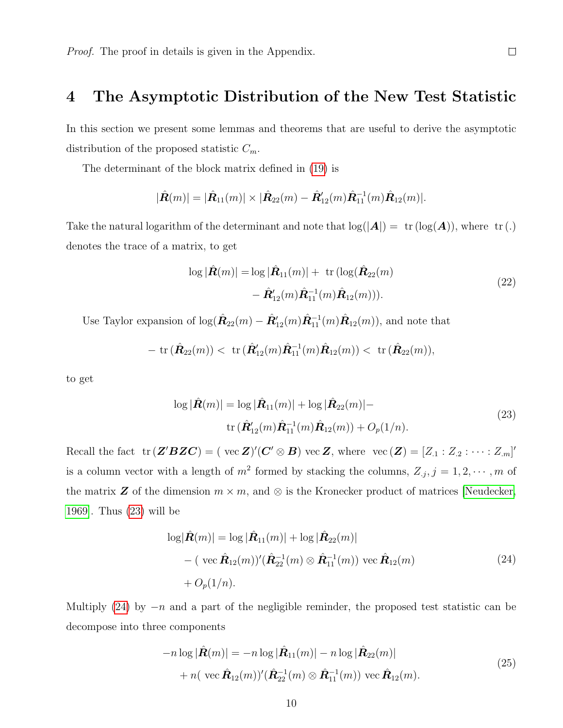### <span id="page-9-0"></span>4 The Asymptotic Distribution of the New Test Statistic

In this section we present some lemmas and theorems that are useful to derive the asymptotic distribution of the proposed statistic  $C_m$ .

The determinant of the block matrix defined in [\(19\)](#page-7-1) is

$$
|\hat{\mathbf{R}}(m)|=|\hat{\mathbf{R}}_{11}(m)|\times|\hat{\mathbf{R}}_{22}(m)-\hat{\mathbf{R}}'_{12}(m)\hat{\mathbf{R}}_{11}^{-1}(m)\hat{\mathbf{R}}_{12}(m)|.
$$

Take the natural logarithm of the determinant and note that  $log(|A|) = \text{tr}(\log(A))$ , where  $\text{tr}(\cdot)$ denotes the trace of a matrix, to get

$$
\log |\hat{\boldsymbol{R}}(m)| = \log |\hat{\boldsymbol{R}}_{11}(m)| + \text{ tr} (\log (\hat{\boldsymbol{R}}_{22}(m) - \hat{\boldsymbol{R}}'_{12}(m))\hat{\boldsymbol{R}}_{11}(m)\hat{\boldsymbol{R}}_{12}(m))).
$$
\n(22)

 $\Box$ 

Use Taylor expansion of  $\log(\hat{R}_{22}(m) - \hat{R}_{12}'(m)\hat{R}_{11}(m)\hat{R}_{12}(m))$ , and note that

- tr 
$$
(\hat{\mathbf{R}}_{22}(m))
$$
 < tr  $(\hat{\mathbf{R}}'_{12}(m)\hat{\mathbf{R}}_{11}^{-1}(m)\hat{\mathbf{R}}_{12}(m))$  < tr  $(\hat{\mathbf{R}}_{22}(m))$ ,

<span id="page-9-1"></span>to get

$$
\log |\hat{\mathbf{R}}(m)| = \log |\hat{\mathbf{R}}_{11}(m)| + \log |\hat{\mathbf{R}}_{22}(m)| -
$$
  
tr  $(\hat{\mathbf{R}}'_{12}(m)\hat{\mathbf{R}}_{11}^{-1}(m)\hat{\mathbf{R}}_{12}(m)) + O_p(1/n).$  (23)

Recall the fact  $\text{tr} (\mathbf{Z}' \mathbf{B} \mathbf{Z} \mathbf{C}) = (\text{ vec } \mathbf{Z})' (\mathbf{C}' \otimes \mathbf{B}) \text{ vec } \mathbf{Z}, \text{ where } \text{ vec } (\mathbf{Z}) = [Z_{.1} : Z_{.2} : \cdots : Z_{.m}]'$ is a column vector with a length of  $m^2$  formed by stacking the columns,  $Z_{.j}$ ,  $j = 1, 2, \cdots, m$  of the matrix **Z** of the dimension  $m \times m$ , and  $\otimes$  is the Kronecker product of matrices [\[Neudecker,](#page-33-7) [1969\]](#page-33-7). Thus [\(23\)](#page-9-1) will be

$$
\log |\hat{\mathbf{R}}(m)| = \log |\hat{\mathbf{R}}_{11}(m)| + \log |\hat{\mathbf{R}}_{22}(m)|
$$
  
– (vec  $\hat{\mathbf{R}}_{12}(m)$ )' ( $\hat{\mathbf{R}}_{22}^{-1}(m) \otimes \hat{\mathbf{R}}_{11}^{-1}(m)$ ) vec  $\hat{\mathbf{R}}_{12}(m)$   
+  $O_p(1/n)$ . (24)

<span id="page-9-3"></span><span id="page-9-2"></span>Multiply [\(24\)](#page-9-2) by  $-n$  and a part of the negligible reminder, the proposed test statistic can be decompose into three components

$$
-n\log|\hat{\boldsymbol{R}}(m)| = -n\log|\hat{\boldsymbol{R}}_{11}(m)| - n\log|\hat{\boldsymbol{R}}_{22}(m)|
$$
  
+ 
$$
n(\text{ vec } \hat{\boldsymbol{R}}_{12}(m))'(\hat{\boldsymbol{R}}_{22}^{-1}(m) \otimes \hat{\boldsymbol{R}}_{11}^{-1}(m)) \text{ vec } \hat{\boldsymbol{R}}_{12}(m).
$$
 (25)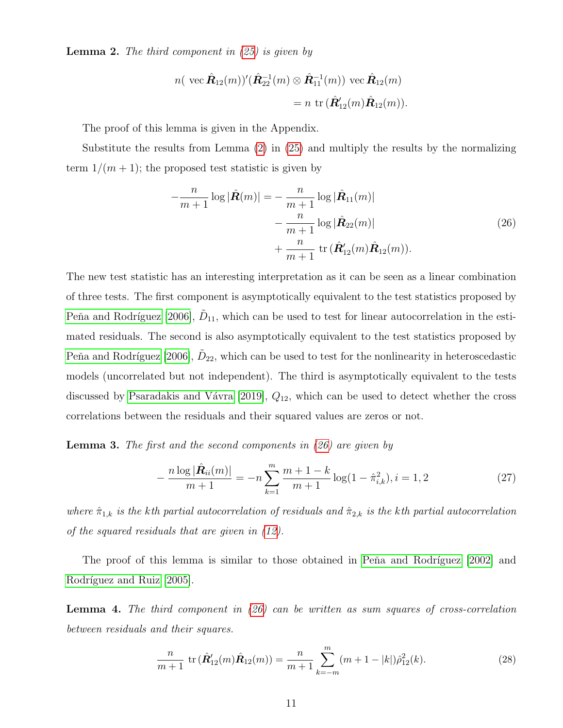<span id="page-10-0"></span>**Lemma 2.** The third component in  $(25)$  is given by

$$
n(\ \text{vec}\,\hat{\mathbf{R}}_{12}(m))'(\hat{\mathbf{R}}_{22}^{-1}(m) \otimes \hat{\mathbf{R}}_{11}^{-1}(m)) \ \text{vec}\,\hat{\mathbf{R}}_{12}(m) \\
= n \ \text{tr}\,(\hat{\mathbf{R}}'_{12}(m)\hat{\mathbf{R}}_{12}(m)).
$$

The proof of this lemma is given in the Appendix.

<span id="page-10-1"></span>Substitute the results from Lemma [\(2\)](#page-10-0) in [\(25\)](#page-9-3) and multiply the results by the normalizing term  $1/(m+1)$ ; the proposed test statistic is given by

$$
-\frac{n}{m+1}\log|\hat{\mathbf{R}}(m)| = -\frac{n}{m+1}\log|\hat{\mathbf{R}}_{11}(m)|
$$
  

$$
-\frac{n}{m+1}\log|\hat{\mathbf{R}}_{22}(m)|
$$
  

$$
+\frac{n}{m+1}\operatorname{tr}(\hat{\mathbf{R}}'_{12}(m)\hat{\mathbf{R}}_{12}(m)).
$$
 (26)

The new test statistic has an interesting interpretation as it can be seen as a linear combination of three tests. The first component is asymptotically equivalent to the test statistics proposed by Peňa and Rodríguez [2006],  $\tilde{D}_{11}$ , which can be used to test for linear autocorrelation in the estimated residuals. The second is also asymptotically equivalent to the test statistics proposed by Peňa and Rodríguez [2006],  $\tilde{D}_{22}$ , which can be used to test for the nonlinearity in heteroscedastic models (uncorrelated but not independent). The third is asymptotically equivalent to the tests discussed by Psaradakis and Vávra [2019],  $Q_{12}$ , which can be used to detect whether the cross correlations between the residuals and their squared values are zeros or not.

<span id="page-10-4"></span>**Lemma 3.** The first and the second components in  $(26)$  are given by

<span id="page-10-3"></span>
$$
-\frac{n\log|\hat{\mathbf{R}}_{ii}(m)|}{m+1} = -n\sum_{k=1}^{m}\frac{m+1-k}{m+1}\log(1-\hat{\pi}_{i,k}^2), i=1,2
$$
\n(27)

where  $\hat{\pi}_{1,k}$  is the kth partial autocorrelation of residuals and  $\hat{\pi}_{2,k}$  is the kth partial autocorrelation of the squared residuals that are given in [\(12\)](#page-5-0).

The proof of this lemma is similar to those obtained in Peña and Rodríguez [2002] and Rodríguez and Ruiz [2005].

<span id="page-10-2"></span>**Lemma 4.** The third component in  $(26)$  can be written as sum squares of cross-correlation between residuals and their squares.

$$
\frac{n}{m+1} \operatorname{tr} (\hat{\mathbf{R}}'_{12}(m)\hat{\mathbf{R}}_{12}(m)) = \frac{n}{m+1} \sum_{k=-m}^{m} (m+1-|k|) \hat{\rho}_{12}^2(k). \tag{28}
$$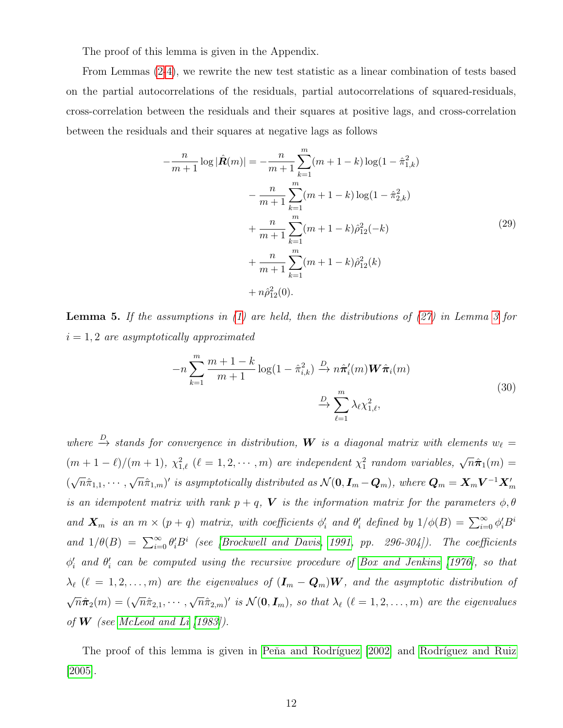The proof of this lemma is given in the Appendix.

From Lemmas [\(2](#page-10-0)[-4\)](#page-10-2), we rewrite the new test statistic as a linear combination of tests based on the partial autocorrelations of the residuals, partial autocorrelations of squared-residuals, cross-correlation between the residuals and their squares at positive lags, and cross-correlation between the residuals and their squares at negative lags as follows

$$
-\frac{n}{m+1}\log|\hat{\mathbf{R}}(m)| = -\frac{n}{m+1}\sum_{k=1}^{m}(m+1-k)\log(1-\hat{\pi}_{1,k}^{2})
$$

$$
-\frac{n}{m+1}\sum_{k=1}^{m}(m+1-k)\log(1-\hat{\pi}_{2,k}^{2})
$$

$$
+\frac{n}{m+1}\sum_{k=1}^{m}(m+1-k)\hat{\rho}_{12}^{2}(-k)
$$

$$
+\frac{n}{m+1}\sum_{k=1}^{m}(m+1-k)\hat{\rho}_{12}^{2}(k)
$$

$$
+n\hat{\rho}_{12}^{2}(0).
$$
(29)

<span id="page-11-1"></span><span id="page-11-0"></span>**Lemma 5.** If the assumptions in  $(1)$  are held, then the distributions of  $(27)$  in Lemma [3](#page-10-4) for  $i = 1, 2$  are asymptotically approximated

$$
-n\sum_{k=1}^{m} \frac{m+1-k}{m+1} \log(1-\hat{\pi}_{i,k}^2) \xrightarrow{D} n\hat{\pi}'_i(m) \mathbf{W}\hat{\pi}_i(m)
$$
  

$$
\xrightarrow{D} \sum_{\ell=1}^{m} \lambda_{\ell} \chi_{1,\ell}^2,
$$
 (30)

where  $\stackrel{D}{\rightarrow}$  stands for convergence in distribution, **W** is a diagonal matrix with elements  $w_{\ell} =$  $(m+1-\ell)/(m+1), \chi^2_{1,\ell}$   $(\ell = 1, 2, \cdots, m)$  are independent  $\chi^2_1$  random variables,  $\sqrt{n}\hat{\pi}_1(m)$  = ( √  $\overline{n}\hat{\pi}_{1,1},\cdots,$ √  $(\overline{n}\hat{\pi}_{1,m})'$  is asymptotically distributed as  $\mathcal{N}(\bm{0},\bm{I}_m-\bm{Q}_m),$  where  $\bm{Q}_m=\bm{X}_m\bm{V}^{-1}\bm{X}'_m$ is an idempotent matrix with rank  $p + q$ , V is the information matrix for the parameters  $\phi$ ,  $\theta$ and  $\mathbf{X}_m$  is an  $m \times (p+q)$  matrix, with coefficients  $\phi'_i$  and  $\theta'_i$  defined by  $1/\phi(B) = \sum_{i=0}^{\infty} \phi'_i B^i$ and  $1/\theta(B) = \sum_{i=0}^{\infty} \theta_i' B^i$  (see [\[Brockwell and Davis, 1991,](#page-32-8) pp. 296-304]). The coefficients  $\phi'_{i}$  and  $\theta'_{i}$  can be computed using the recursive procedure of [Box and Jenkins](#page-31-1) [\[1976\]](#page-31-1), so that  $\lambda_{\ell}$  ( $\ell = 1, 2, ..., m$ ) are the eigenvalues of  $(I_m - Q_m)W$ , and the asymptotic distribution of  $\sqrt{n}\hat{\pi}_2(m) = (\sqrt{n}\hat{\pi}_{2,1}, \cdots,$ √  $\overline{n}\hat{\pi}_{2,m}$ )' is  $\mathcal{N}(\mathbf{0},\bm{I}_m)$ , so that  $\lambda_\ell$  ( $\ell = 1,2,\ldots,m$ ) are the eigenvalues of **W** (see [McLeod and Li](#page-33-4)  $(1983)$ ).

The proof of this lemma is given in Peňa and Rodríguez [2002] and Rodríguez and Ruiz [\[2005\]](#page-33-5).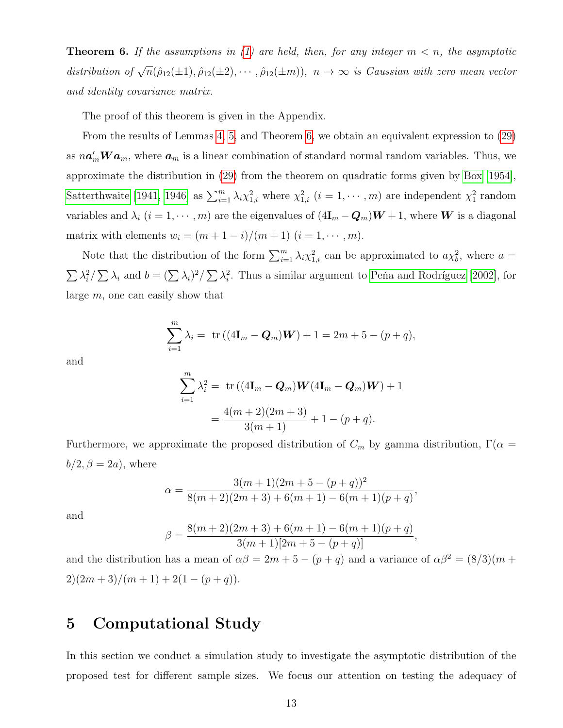<span id="page-12-1"></span>**Theorem 6.** If the assumptions in [\(1\)](#page-1-0) are held, then, for any integer  $m < n$ , the asymptotic distribution of  $\sqrt{n}(\hat{\rho}_{12}(\pm 1), \hat{\rho}_{12}(\pm 2), \cdots, \hat{\rho}_{12}(\pm m))$ ,  $n \to \infty$  is Gaussian with zero mean vector and identity covariance matrix.

The proof of this theorem is given in the Appendix.

From the results of Lemmas [4,](#page-10-2) [5,](#page-11-0) and Theorem [6,](#page-12-1) we obtain an equivalent expression to [\(29\)](#page-11-1) as  $n\mathbf{a}'_m \mathbf{W} \mathbf{a}_m$ , where  $\mathbf{a}_m$  is a linear combination of standard normal random variables. Thus, we approximate the distribution in [\(29\)](#page-11-1) from the theorem on quadratic forms given by [Box \[1954\]](#page-31-2), [Satterthwaite \[1941,](#page-33-8) [1946\]](#page-33-9) as  $\sum_{i=1}^{m} \lambda_i \chi_{1,i}^2$  where  $\chi_{1,i}^2$   $(i = 1, \cdots, m)$  are independent  $\chi_1^2$  random variables and  $\lambda_i$  ( $i = 1, \dots, m$ ) are the eigenvalues of  $(4\mathbf{I}_m - \mathbf{Q}_m)\mathbf{W} + 1$ , where **W** is a diagonal matrix with elements  $w_i = (m + 1 - i)/(m + 1)$   $(i = 1, \dots, m)$ .

Note that the distribution of the form  $\sum_{i=1}^{m} \lambda_i \chi_{1,i}^2$  can be approximated to  $a \chi_b^2$ , where  $a =$  $\sum_{i} \lambda_i^2 / \sum_{i} \lambda_i$  and  $b = (\sum_{i} \lambda_i)^2 / \sum_{i} \lambda_i^2$ . Thus a similar argument to Peña and Rodríguez [2002], for large m, one can easily show that

$$
\sum_{i=1}^{m} \lambda_i = \text{tr}((4\mathbf{I}_m - \mathbf{Q}_m)\mathbf{W}) + 1 = 2m + 5 - (p + q),
$$

and

$$
\sum_{i=1}^{m} \lambda_i^2 = \text{tr} \left( (4\mathbf{I}_m - \mathbf{Q}_m) \mathbf{W} (4\mathbf{I}_m - \mathbf{Q}_m) \mathbf{W} \right) + 1
$$

$$
= \frac{4(m+2)(2m+3)}{3(m+1)} + 1 - (p+q).
$$

Furthermore, we approximate the proposed distribution of  $C_m$  by gamma distribution,  $\Gamma(\alpha =$  $b/2, \beta = 2a$ , where

$$
\alpha = \frac{3(m+1)(2m+5-(p+q))^2}{8(m+2)(2m+3)+6(m+1)-6(m+1)(p+q)},
$$

and

$$
\beta = \frac{8(m+2)(2m+3) + 6(m+1) - 6(m+1)(p+q)}{3(m+1)[2m+5-(p+q)]},
$$

and the distribution has a mean of  $\alpha\beta = 2m + 5 - (p + q)$  and a variance of  $\alpha\beta^2 = (8/3)(m +$  $2)(2m+3)/(m+1)+2(1-(p+q)).$ 

# <span id="page-12-0"></span>5 Computational Study

In this section we conduct a simulation study to investigate the asymptotic distribution of the proposed test for different sample sizes. We focus our attention on testing the adequacy of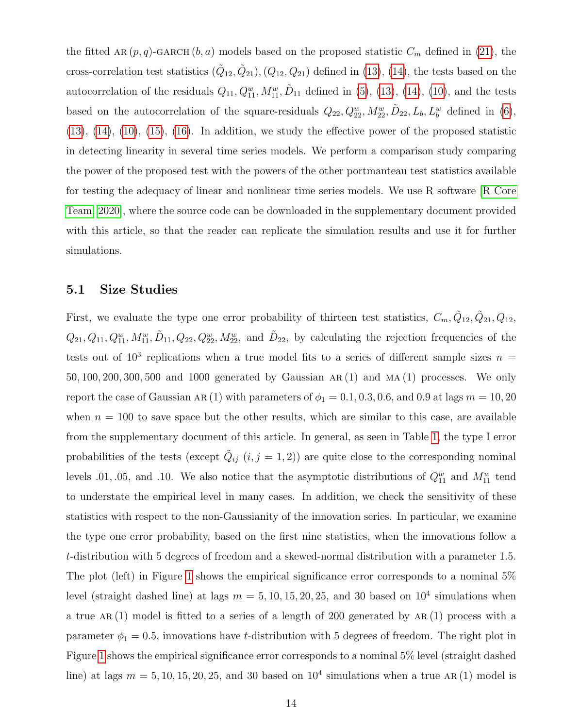the fitted AR  $(p, q)$ -GARCH  $(b, a)$  models based on the proposed statistic  $C_m$  defined in [\(21\)](#page-8-0), the cross-correlation test statistics  $(\tilde{Q}_{12}, \tilde{Q}_{21}), (Q_{12}, Q_{21})$  defined in [\(13\)](#page-5-1), [\(14\)](#page-5-2), the tests based on the autocorrelation of the residuals  $Q_{11}, Q_{11}^w, M_{11}^w, \tilde{D}_{11}$  defined in [\(5\)](#page-3-1), [\(13\)](#page-5-1), [\(14\)](#page-5-2), [\(10\)](#page-5-3), and the tests based on the autocorrelation of the square-residuals  $Q_{22}, Q_{22}^w, M_{22}^w, \tilde{D}_{22}, L_b, L_b^w$  defined in [\(6\)](#page-4-1),  $(13)$ ,  $(14)$ ,  $(10)$ ,  $(15)$ ,  $(16)$ . In addition, we study the effective power of the proposed statistic in detecting linearity in several time series models. We perform a comparison study comparing the power of the proposed test with the powers of the other portmanteau test statistics available for testing the adequacy of linear and nonlinear time series models. We use R software [\[R Core](#page-33-10) [Team, 2020\]](#page-33-10), where the source code can be downloaded in the supplementary document provided with this article, so that the reader can replicate the simulation results and use it for further simulations.

#### 5.1 Size Studies

First, we evaluate the type one error probability of thirteen test statistics,  $C_m, \tilde{Q}_{12}, \tilde{Q}_{21}, Q_{12}$ ,  $Q_{21}, Q_{11}, Q_{11}^w, M_{11}^w, \tilde{D}_{11}, Q_{22}, Q_{22}^w, M_{22}^w$ , and  $\tilde{D}_{22}$ , by calculating the rejection frequencies of the tests out of  $10^3$  replications when a true model fits to a series of different sample sizes  $n =$ 50, 100, 200, 300, 500 and 1000 generated by Gaussian ar (1) and ma (1) processes. We only report the case of Gaussian AR (1) with parameters of  $\phi_1 = 0.1, 0.3, 0.6,$  and 0.9 at lags  $m = 10, 20$ when  $n = 100$  to save space but the other results, which are similar to this case, are available from the supplementary document of this article. In general, as seen in Table [1,](#page-15-0) the type I error probabilities of the tests (except  $\tilde{Q}_{ij}$   $(i, j = 1, 2)$ ) are quite close to the corresponding nominal levels 0.01, 0.05, and 0.10. We also notice that the asymptotic distributions of  $Q_{11}^w$  and  $M_{11}^w$  tend to understate the empirical level in many cases. In addition, we check the sensitivity of these statistics with respect to the non-Gaussianity of the innovation series. In particular, we examine the type one error probability, based on the first nine statistics, when the innovations follow a t-distribution with 5 degrees of freedom and a skewed-normal distribution with a parameter 1.5. The plot (left) in Figure [1](#page-14-0) shows the empirical significance error corresponds to a nominal 5% level (straight dashed line) at lags  $m = 5, 10, 15, 20, 25,$  and 30 based on  $10<sup>4</sup>$  simulations when a true  $AR(1)$  model is fitted to a series of a length of 200 generated by  $AR(1)$  process with a parameter  $\phi_1 = 0.5$ , innovations have t-distribution with 5 degrees of freedom. The right plot in Figure [1](#page-14-0) shows the empirical significance error corresponds to a nominal 5% level (straight dashed line) at lags  $m = 5, 10, 15, 20, 25,$  and 30 based on  $10<sup>4</sup>$  simulations when a true AR(1) model is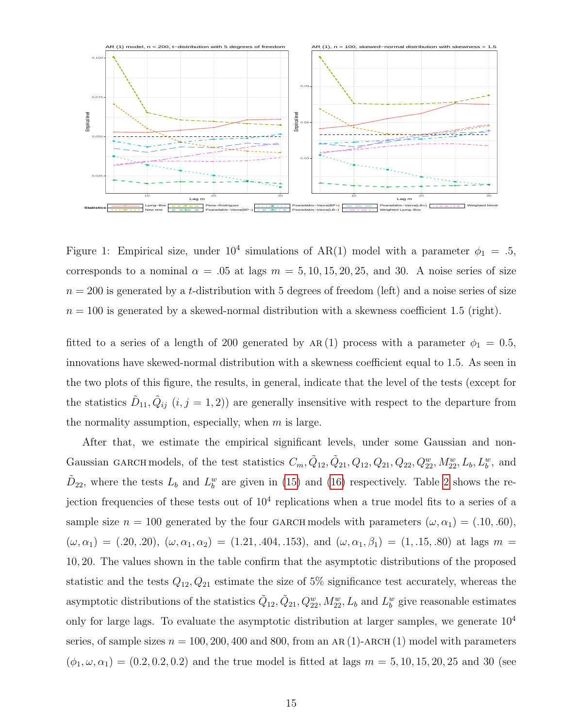

<span id="page-14-0"></span>Figure 1: Empirical size, under  $10^4$  simulations of AR(1) model with a parameter  $\phi_1 = .5$ , corresponds to a nominal  $\alpha = .05$  at lags  $m = 5, 10, 15, 20, 25,$  and 30. A noise series of size  $n = 200$  is generated by a t-distribution with 5 degrees of freedom (left) and a noise series of size  $n = 100$  is generated by a skewed-normal distribution with a skewness coefficient 1.5 (right).

fitted to a series of a length of 200 generated by  $AR(1)$  process with a parameter  $\phi_1 = 0.5$ , innovations have skewed-normal distribution with a skewness coefficient equal to 1.5. As seen in the two plots of this figure, the results, in general, indicate that the level of the tests (except for the statistics  $\tilde{D}_{11}, \tilde{Q}_{ij}$   $(i, j = 1, 2)$  are generally insensitive with respect to the departure from the normality assumption, especially, when  $m$  is large.

After that, we estimate the empirical significant levels, under some Gaussian and non-Gaussian GARCH models, of the test statistics  $C_m, \tilde{Q}_{12}, \tilde{Q}_{21}, Q_{12}, Q_{21}, Q_{22}, Q_{22}^w, M_{22}^w, L_b, L_b^w$ , and  $\tilde{D}_{22}$ , where the tests  $L_b$  and  $L_b^w$  are given in [\(15\)](#page-6-0) and [\(16\)](#page-6-1) respectively. Table [2](#page-17-0) shows the rejection frequencies of these tests out of  $10<sup>4</sup>$  replications when a true model fits to a series of a sample size  $n = 100$  generated by the four GARCH models with parameters  $(\omega, \alpha_1) = (.10, .60),$  $(\omega, \alpha_1) = (.20, .20), (\omega, \alpha_1, \alpha_2) = (1.21, .404, .153), \text{ and } (\omega, \alpha_1, \beta_1) = (1, .15, .80) \text{ at lags } m =$ 10, 20. The values shown in the table confirm that the asymptotic distributions of the proposed statistic and the tests  $Q_{12}, Q_{21}$  estimate the size of 5% significance test accurately, whereas the asymptotic distributions of the statistics  $\tilde{Q}_{12}, \tilde{Q}_{21}, Q_{22}^w, M_{22}^w, L_b$  and  $L_b^w$  give reasonable estimates only for large lags. To evaluate the asymptotic distribution at larger samples, we generate  $10<sup>4</sup>$ series, of sample sizes  $n = 100, 200, 400$  and 800, from an AR(1)-ARCH(1) model with parameters  $(\phi_1, \omega, \alpha_1) = (0.2, 0.2, 0.2)$  and the true model is fitted at lags  $m = 5, 10, 15, 20, 25$  and 30 (see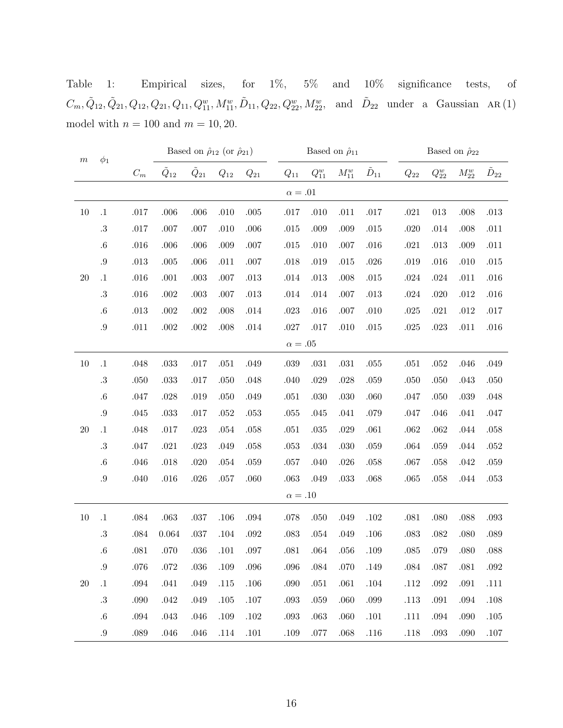<span id="page-15-0"></span>Table 1: Empirical sizes, for 1%, 5% and 10% significance tests, of  $C_m, \tilde{Q}_{12}, \tilde{Q}_{21}, Q_{12}, Q_{21}, Q_{11}, Q_{11}^w, M_{11}^w, \tilde{D}_{11}, Q_{22}, Q_{22}^w, M_{22}^w$ , and  $\tilde{D}_{22}$  under a Gaussian AR(1) model with  $n = 100$  and  $m = 10, 20$ .

| $\,m$     | $\phi_1$  |          |                  | Based on $\hat{\rho}_{12}$ (or $\hat{\rho}_{21})$ |          |          |                    | Based on $\hat{\rho}_{11}$ |            |                  |          | Based on $\hat{\rho}_{22}$ |            |                  |  |
|-----------|-----------|----------|------------------|---------------------------------------------------|----------|----------|--------------------|----------------------------|------------|------------------|----------|----------------------------|------------|------------------|--|
|           |           | $C_m$    | $\tilde{Q}_{12}$ | $\tilde{Q}_{21}$                                  | $Q_{12}$ | $Q_{21}$ | $\mathcal{Q}_{11}$ | ${\cal Q}_{11}^w$          | $M_{11}^w$ | $\tilde{D}_{11}$ | $Q_{22}$ | ${\cal Q}_{22}^w$          | $M_{22}^w$ | $\tilde{D}_{22}$ |  |
|           |           |          |                  |                                                   |          |          | $\alpha = .01$     |                            |            |                  |          |                            |            |                  |  |
| 10        | $\cdot$ 1 | $.017$   | $.006$           | $.006\,$                                          | .010     | $.005\,$ | .017               | .010                       | .011       | $.017\,$         | $.021\,$ | $013\,$                    | .008       | $.013\,$         |  |
|           | $.3\,$    | $.017$   | .007             | $.007$                                            | .010     | .006     | .015               | .009                       | .009       | $.015\,$         | .020     | .014                       | .008       | $.011\,$         |  |
|           | $.6\,$    | $.016\,$ | .006             | .006                                              | .009     | .007     | .015               | .010                       | $.007$     | $.016\,$         | $.021\,$ | $.013\,$                   | .009       | .011             |  |
|           | $.9\,$    | $.013\,$ | $.005$           | .006                                              | .011     | .007     | .018               | .019                       | $.015\,$   | $.026\,$         | .019     | $.016\,$                   | $.010$     | $.015\,$         |  |
| $20\,$    | $\cdot 1$ | $.016\,$ | .001             | $.003\,$                                          | .007     | .013     | .014               | .013                       | .008       | $.015\,$         | .024     | $.024\,$                   | .011       | .016             |  |
|           | $.3\,$    | .016     | .002             | $.003\,$                                          | .007     | .013     | .014               | .014                       | $.007$     | $.013\,$         | .024     | $.020\,$                   | $.012\,$   | $.016\,$         |  |
|           | $.6\,$    | .013     | .002             | $.002\,$                                          | .008     | .014     | .023               | .016                       | $.007$     | .010             | .025     | $.021\,$                   | $.012\,$   | $.017\,$         |  |
|           | $.9\,$    | .011     | $.002\,$         | $.002\,$                                          | .008     | .014     | $.027\,$           | .017                       | .010       | .015             | .025     | $.023\,$                   | .011       | $.016\,$         |  |
|           |           |          |                  |                                                   |          |          | $\alpha = .05$     |                            |            |                  |          |                            |            |                  |  |
| $10\,$    | $.1\,$    | .048     | $.033\,$         | $.017\,$                                          | $.051\,$ | .049     | $.039\,$           | $.031\,$                   | $.031\,$   | .055             | $.051\,$ | $.052\,$                   | .046       | .049             |  |
|           | $.3\,$    | .050     | .033             | .017                                              | .050     | .048     | .040               | .029                       | $.028\,$   | .059             | .050     | $.050\,$                   | .043       | $.050\,$         |  |
|           | $.6\,$    | .047     | .028             | .019                                              | .050     | .049     | .051               | .030                       | .030       | .060             | .047     | $.050\,$                   | $.039\,$   | $.048$           |  |
|           | $.9\,$    | .045     | .033             | .017                                              | .052     | $.053\,$ | .055               | .045                       | .041       | .079             | .047     | .046                       | .041       | $.047$           |  |
| <b>20</b> | $.1\,$    | $.048\,$ | .017             | $.023\,$                                          | .054     | .058     | .051               | .035                       | .029       | $.061\,$         | .062     | $.062\,$                   | .044       | $.058\,$         |  |
|           | $.3\,$    | .047     | .021             | $.023\,$                                          | .049     | .058     | .053               | .034                       | $.030\,$   | .059             | .064     | $.059\,$                   | .044       | $.052\,$         |  |
|           | $.6\,$    | $.046$   | .018             | .020                                              | .054     | .059     | .057               | .040                       | $.026\,$   | $.058\,$         | .067     | $.058\,$                   | $.042\,$   | .059             |  |
|           | $.9\,$    | .040     | $.016\,$         | .026                                              | $.057\,$ | .060     | .063               | .049                       | $.033\,$   | .068             | .065     | $.058\,$                   | .044       | $.053\,$         |  |
|           |           |          |                  |                                                   |          |          | $\alpha = .10$     |                            |            |                  |          |                            |            |                  |  |
| 10        | $\cdot$ 1 | .084     | $.063\,$         | $.037\,$                                          | .106     | $.094\,$ | .078               | .050                       | .049       | $.102\,$         | $.081\,$ | $.080\,$                   | $.088\,$   | $.093\,$         |  |
|           | $.3\,$    | .084     | 0.064            | $.037\,$                                          | .104     | $.092\,$ | .083               | .054                       | .049       | .106             | .083     | $.082\,$                   | .080       | $.089\,$         |  |
|           | $.6\,$    | .081     | .070             | .036                                              | .101     | .097     | .081               | .064                       | .056       | .109             | .085     | .079                       | .080       | $.088\,$         |  |
|           | $.9\,$    | $.076\,$ | .072             | $.036\,$                                          | $.109\,$ | $.096\,$ | $.096\,$           | .084                       | .070       | .149             | $.084$   | .087                       | $.081\,$   | $.092\,$         |  |
| $20\,$    | $.1\,$    | $.094\,$ | .041             | $.049\,$                                          | $.115\,$ | $.106\,$ | .090               | $.051\,$                   | .061       | $.104\,$         | .112     | $.092\,$                   | $.091\,$   | $.111\,$         |  |
|           | $.3\,$    | .090     | .042             | .049                                              | .105     | $.107\,$ | .093               | .059                       | .060       | .099             | .113     | .091                       | .094       | .108             |  |
|           | $.6\,$    | $.094\,$ | .043             | $.046\,$                                          | .109     | $.102\,$ | .093               | $.063\,$                   | .060       | $.101\,$         | .111     | $.094\,$                   | .090       | $.105$           |  |
|           | $.9\,$    | $.089\,$ | $.046\,$         | $.046\,$                                          | $.114\,$ | $.101\,$ | $.109\,$           | .077                       | $.068\,$   | $.116$           | $.118$   | $.093\,$                   | $.090\,$   | $.107\,$         |  |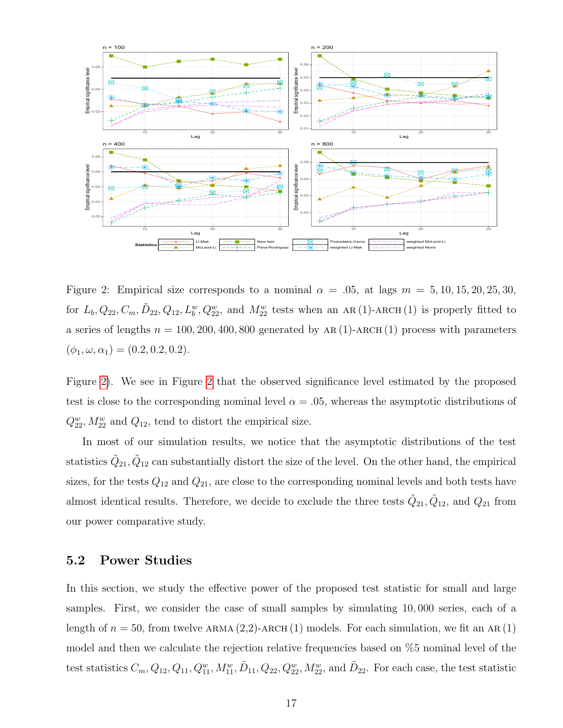

<span id="page-16-0"></span>Figure 2: Empirical size corresponds to a nominal  $\alpha = .05$ , at lags  $m = 5, 10, 15, 20, 25, 30$ , for  $L_b, Q_{22}, C_m, \tilde{D}_{22}, Q_{12}, L_b^w, Q_{22}^w$ , and  $M_{22}^w$  tests when an AR(1)-ARCH(1) is properly fitted to a series of lengths  $n = 100, 200, 400, 800$  generated by AR(1)-ARCH(1) process with parameters  $(\phi_1, \omega, \alpha_1) = (0.2, 0.2, 0.2).$ 

Figure [2\)](#page-16-0). We see in Figure [2](#page-16-0) that the observed significance level estimated by the proposed test is close to the corresponding nominal level  $\alpha = .05$ , whereas the asymptotic distributions of  $Q_{22}^w, M_{22}^w$  and  $Q_{12}$ , tend to distort the empirical size.

In most of our simulation results, we notice that the asymptotic distributions of the test statistics  $\tilde{Q}_{21}, \tilde{Q}_{12}$  can substantially distort the size of the level. On the other hand, the empirical sizes, for the tests  $Q_{12}$  and  $Q_{21}$ , are close to the corresponding nominal levels and both tests have almost identical results. Therefore, we decide to exclude the three tests  $\tilde{Q}_{21}, \tilde{Q}_{12}$ , and  $Q_{21}$  from our power comparative study.

#### 5.2 Power Studies

In this section, we study the effective power of the proposed test statistic for small and large samples. First, we consider the case of small samples by simulating 10, 000 series, each of a length of  $n = 50$ , from twelve ARMA (2,2)-ARCH (1) models. For each simulation, we fit an AR (1) model and then we calculate the rejection relative frequencies based on %5 nominal level of the test statistics  $C_m, Q_{12}, Q_{11}, Q_{11}^w, M_{11}^w, \tilde{D}_{11}, Q_{22}, Q_{22}^w, M_{22}^w$ , and  $\tilde{D}_{22}$ . For each case, the test statistic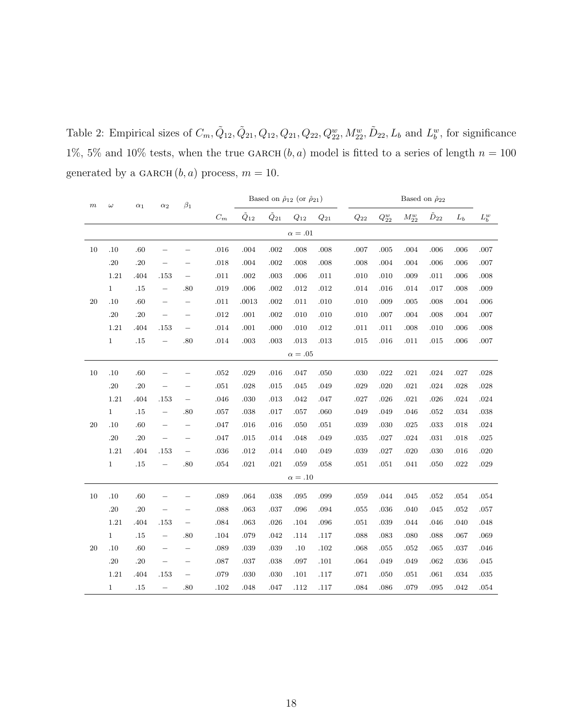<span id="page-17-0"></span>Table 2: Empirical sizes of  $C_m, \tilde{Q}_{12}, \tilde{Q}_{21}, Q_{12}, Q_{21}, Q_{22}, Q_{22}^w, M_{22}^w, \tilde{D}_{22}, L_b$  and  $L_b^w$ , for significance 1%, 5% and 10% tests, when the true GARCH  $(b, a)$  model is fitted to a series of length  $n = 100$ generated by a GARCH  $(b, a)$  process,  $m = 10$ .

| $_{m}$ | $\omega$     | $\alpha_1$ | $\alpha_2$               | $\beta_1$                |                 |                  | Based on $\hat{\rho}_{12}$ (or $\hat{\rho}_{21}$ ) |                    |                    | Based on $\hat{\rho}_{22}$ |                   |            |                  |          |                |
|--------|--------------|------------|--------------------------|--------------------------|-----------------|------------------|----------------------------------------------------|--------------------|--------------------|----------------------------|-------------------|------------|------------------|----------|----------------|
|        |              |            |                          |                          | $\mathcal{C}_m$ | $\tilde{Q}_{12}$ | $\tilde{Q}_{21}$                                   | $\mathcal{Q}_{12}$ | $\mathcal{Q}_{21}$ | $\mathcal{Q}_{22}$         | ${\cal Q}_{22}^w$ | $M_{22}^w$ | $\tilde{D}_{22}$ | $L_b$    | ${\cal L}_b^w$ |
|        |              |            |                          |                          |                 |                  |                                                    | $\alpha=.01$       |                    |                            |                   |            |                  |          |                |
| 10     | .10          | .60        |                          |                          | .016            | .004             | .002                                               | .008               | .008               | $.007$                     | .005              | .004       | .006             | .006     | .007           |
|        | .20          | .20        |                          |                          | .018            | .004             | .002                                               | .008               | .008               | $.008$                     | .004              | .004       | .006             | .006     | .007           |
|        | 1.21         | .404       | .153                     | $\qquad \qquad -$        | $.011\,$        | .002             | .003                                               | .006               | .011               | .010                       | .010              | .009       | .011             | .006     | .008           |
|        | $\mathbf{1}$ | .15        |                          | .80                      | .019            | .006             | .002                                               | .012               | .012               | $.014\,$                   | .016              | .014       | .017             | .008     | .009           |
| 20     | .10          | .60        |                          | $\overline{\phantom{0}}$ | $.011\,$        | .0013            | .002                                               | .011               | .010               | $.010\,$                   | .009              | $.005\,$   | .008             | .004     | .006           |
|        | $.20\,$      | .20        | $\qquad \qquad -$        | $\overline{\phantom{0}}$ | .012            | $.001\,$         | .002                                               | .010               | .010               | $.010\,$                   | .007              | .004       | .008             | .004     | .007           |
|        | 1.21         | .404       | .153                     | $\qquad \qquad -$        | .014            | .001             | .000                                               | .010               | .012               | .011                       | .011              | .008       | .010             | .006     | .008           |
|        | $\mathbf{1}$ | $.15\,$    | $\overline{\phantom{0}}$ | .80                      | $.014\,$        | $.003\,$         | .003                                               | .013               | .013               | .015                       | $.016\,$          | $.011\,$   | $.015\,$         | .006     | .007           |
|        |              |            |                          |                          |                 |                  |                                                    | $\alpha=.05$       |                    |                            |                   |            |                  |          |                |
| $10\,$ | .10          | .60        |                          |                          | $.052\,$        | .029             | $.016\,$                                           | .047               | .050               | $.030\,$                   | $.022\,$          | $.021\,$   | .024             | .027     | .028           |
|        | .20          | .20        |                          |                          | $.051\,$        | .028             | .015                                               | .045               | .049               | $.029\,$                   | .020              | $.021\,$   | .024             | .028     | .028           |
|        | 1.21         | .404       | .153                     | $\qquad \qquad -$        | .046            | .030             | .013                                               | .042               | .047               | $.027\,$                   | .026              | $.021\,$   | .026             | .024     | .024           |
|        | $1\,$        | $.15\,$    | $\qquad \qquad -$        | .80                      | $.057\,$        | .038             | .017                                               | .057               | .060               | .049                       | .049              | .046       | .052             | .034     | .038           |
| 20     | .10          | .60        |                          | —                        | .047            | .016             | .016                                               | .050               | .051               | $.039\,$                   | .030              | $.025\,$   | .033             | .018     | $.024\,$       |
|        | .20          | .20        | $\overline{\phantom{0}}$ | $\overline{\phantom{0}}$ | .047            | $.015\,$         | .014                                               | .048               | .049               | $.035\,$                   | .027              | $.024\,$   | .031             | $.018\,$ | $.025\,$       |
|        | 1.21         | .404       | .153                     | $\overline{\phantom{0}}$ | $.036\,$        | $.012\,$         | .014                                               | .040               | .049               | $.039\,$                   | .027              | .020       | .030             | .016     | .020           |
|        | $1\,$        | $.15\,$    | $\qquad \qquad -$        | .80                      | $.054\,$        | $.021\,$         | .021                                               | .059               | .058               | $.051\,$                   | $.051\,$          | $.041\,$   | .050             | .022     | .029           |
|        |              |            |                          |                          |                 |                  |                                                    | $\alpha = .10$     |                    |                            |                   |            |                  |          |                |
| 10     | .10          | .60        |                          |                          | .089            | .064             | .038                                               | .095               | .099               | .059                       | .044              | .045       | .052             | .054     | .054           |
|        | .20          | .20        |                          |                          | .088            | .063             | $.037\,$                                           | .096               | .094               | $.055\,$                   | $.036\,$          | .040       | .045             | $.052\,$ | .057           |
|        | 1.21         | .404       | .153                     | $\overline{\phantom{0}}$ | $.084\,$        | .063             | .026                                               | .104               | .096               | $.051\,$                   | .039              | .044       | .046             | .040     | .048           |
|        | $1\,$        | $.15\,$    | $\qquad \qquad -$        | .80                      | .104            | .079             | .042                                               | .114               | $.117\,$           | .088                       | $.083\,$          | .080       | .088             | .067     | .069           |
| 20     | .10          | .60        |                          | $\qquad \qquad -$        | .089            | .039             | .039                                               | .10                | .102               | .068                       | .055              | .052       | .065             | .037     | .046           |
|        | $.20\,$      | .20        |                          | $\overline{\phantom{0}}$ | .087            | $.037\,$         | .038                                               | .097               | $.101\,$           | .064                       | .049              | .049       | .062             | $.036\,$ | .045           |
|        | 1.21         | .404       | .153                     | $\qquad \qquad -$        | .079            | .030             | .030                                               | .101               | .117               | .071                       | .050              | $.051\,$   | .061             | .034     | .035           |
|        | $\mathbf{1}$ | .15        | $\overline{\phantom{0}}$ | .80                      | .102            | .048             | .047                                               | .112               | .117               | .084                       | .086              | .079       | .095             | .042     | .054           |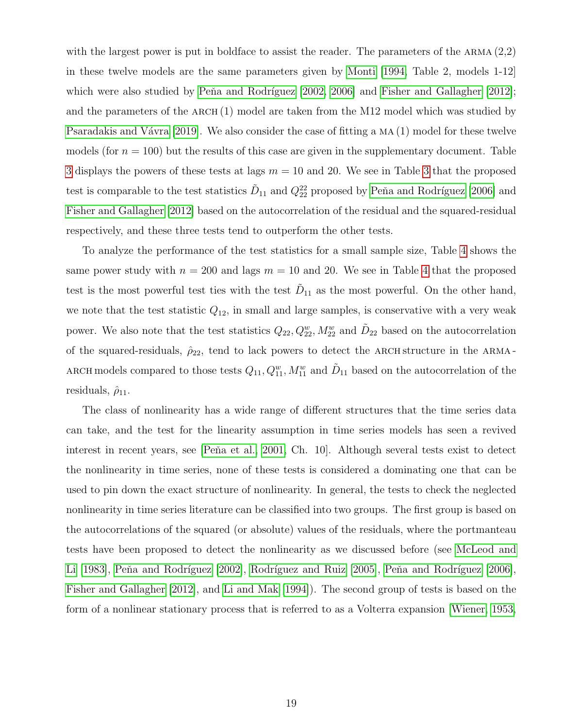with the largest power is put in boldface to assist the reader. The parameters of the ARMA  $(2,2)$ in these twelve models are the same parameters given by [Monti \[1994,](#page-33-1) Table 2, models 1-12] which were also studied by Peňa and Rodríguez  $[2002, 2006]$  $[2002, 2006]$  and Fisher and Gallagher  $[2012]$ ; and the parameters of the ARCH  $(1)$  model are taken from the M12 model which was studied by Psaradakis and Vávra [2019]. We also consider the case of fitting a  $MA(1)$  model for these twelve models (for  $n = 100$ ) but the results of this case are given in the supplementary document. Table [3](#page-19-0) displays the powers of these tests at lags  $m = 10$  and 20. We see in Table [3](#page-19-0) that the proposed test is comparable to the test statistics  $\tilde{D}_{11}$  and  $Q_{22}^{22}$  proposed by Peňa and Rodríguez [2006] and [Fisher and Gallagher \[2012\]](#page-32-4) based on the autocorrelation of the residual and the squared-residual respectively, and these three tests tend to outperform the other tests.

To analyze the performance of the test statistics for a small sample size, Table [4](#page-20-0) shows the same power study with  $n = 200$  and lags  $m = 10$  and 20. We see in Table [4](#page-20-0) that the proposed test is the most powerful test ties with the test  $D_{11}$  as the most powerful. On the other hand, we note that the test statistic  $Q_{12}$ , in small and large samples, is conservative with a very weak power. We also note that the test statistics  $Q_{22}, Q_{22}^w, M_{22}^w$  and  $\tilde{D}_{22}$  based on the autocorrelation of the squared-residuals,  $\hat{\rho}_{22}$ , tend to lack powers to detect the ARCH structure in the ARMA-ARCH models compared to those tests  $Q_{11}, Q_{11}^w, M_{11}^w$  and  $D_{11}$  based on the autocorrelation of the residuals,  $\hat{\rho}_{11}$ .

The class of nonlinearity has a wide range of different structures that the time series data can take, and the test for the linearity assumption in time series models has seen a revived interest in recent years, see [Peňa et al., 2001, Ch. 10]. Although several tests exist to detect the nonlinearity in time series, none of these tests is considered a dominating one that can be used to pin down the exact structure of nonlinearity. In general, the tests to check the neglected nonlinearity in time series literature can be classified into two groups. The first group is based on the autocorrelations of the squared (or absolute) values of the residuals, where the portmanteau tests have been proposed to detect the nonlinearity as we discussed before (see [McLeod and](#page-33-4) [Li \[1983\]](#page-33-4), Peňa and Rodríguez [2002], Rodríguez and Ruiz [2005], Peňa and Rodríguez [2006], [Fisher and Gallagher \[2012\]](#page-32-4), and [Li and Mak \[1994\]](#page-32-5)). The second group of tests is based on the form of a nonlinear stationary process that is referred to as a Volterra expansion [\[Wiener, 1953,](#page-34-1)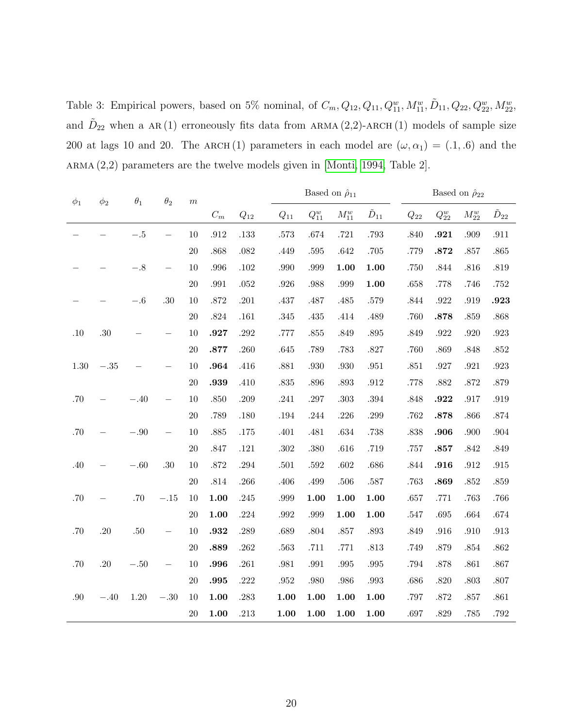<span id="page-19-0"></span>Table 3: Empirical powers, based on 5% nominal, of  $C_m, Q_{12}, Q_{11}, Q_{11}^w, M_{11}^w, \tilde{D}_{11}, Q_{22}, Q_{22}^w, M_{22}^w$ , and  $\tilde{D}_{22}$  when a AR(1) erroneously fits data from ARMA(2,2)-ARCH(1) models of sample size 200 at lags 10 and 20. The ARCH(1) parameters in each model are  $(\omega, \alpha_1) = (.1, .6)$  and the  $A\normalsize{RMA (2,2)}$  parameters are the twelve models given in [\[Monti, 1994,](#page-33-1) Table 2].

| $\theta_1$<br>$\theta_2$<br>$\phi_1$<br>$\phi_2$ |        |        |        | $\,m$     |                 |          |          | Based on $\hat{\rho}_{11}$ |            |                  |          | Based on $\hat{\rho}_{22}$ |            |          |  |  |
|--------------------------------------------------|--------|--------|--------|-----------|-----------------|----------|----------|----------------------------|------------|------------------|----------|----------------------------|------------|----------|--|--|
|                                                  |        |        |        |           | $\mathcal{C}_m$ | $Q_{12}$ | $Q_{11}$ | $\mathcal{Q}^w_{11}$       | $M_{11}^w$ | $\tilde{D}_{11}$ | $Q_{22}$ | ${\cal Q}_{22}^w$          | $M_{22}^w$ | $D_{22}$ |  |  |
|                                                  |        | $-.5$  |        | 10        | .912            | .133     | $.573\,$ | .674                       | $.721\,$   | .793             | .840     | .921                       | .909       | .911     |  |  |
|                                                  |        |        |        | 20        | .868            | .082     | .449     | .595                       | $.642\,$   | .705             | .779     | .872                       | .857       | $.865\,$ |  |  |
|                                                  |        | $-.8$  |        | 10        | .996            | $.102\,$ | .990     | .999                       | 1.00       | 1.00             | .750     | .844                       | .816       | $.819\,$ |  |  |
|                                                  |        |        |        | 20        | .991            | .052     | $.926\,$ | .988                       | .999       | 1.00             | .658     | .778                       | .746       | .752     |  |  |
|                                                  |        | $-.6$  | .30    | 10        | .872            | $.201\,$ | .437     | $.487$                     | .485       | .579             | .844     | $.922\,$                   | .919       | .923     |  |  |
|                                                  |        |        |        | 20        | .824            | $.161\,$ | $.345\,$ | .435                       | .414       | .489             | .760     | .878                       | .859       | .868     |  |  |
| .10                                              | .30    |        |        | 10        | .927            | .292     | .777     | .855                       | .849       | .895             | .849     | .922                       | .920       | $.923\,$ |  |  |
|                                                  |        |        |        | $20\,$    | .877            | .260     | $.645\,$ | .789                       | $.783\,$   | .827             | .760     | .869                       | .848       | $.852\,$ |  |  |
| 1.30                                             | $-.35$ |        |        | 10        | .964            | .416     | $.881\,$ | .930                       | $.930\,$   | .951             | $.851\,$ | $.927\,$                   | $.921\,$   | $.923\,$ |  |  |
|                                                  |        |        |        | 20        | .939            | .410     | $.835\,$ | .896                       | $.893\,$   | .912             | .778     | .882                       | .872       | .879     |  |  |
| .70                                              |        | $-.40$ |        | 10        | .850            | .209     | .241     | .297                       | $.303\,$   | .394             | .848     | .922                       | .917       | .919     |  |  |
|                                                  |        |        |        | 20        | .789            | .180     | .194     | .244                       | $.226\,$   | .299             | .762     | .878                       | .866       | .874     |  |  |
| .70                                              |        | $-.90$ |        | 10        | .885            | .175     | .401     | .481                       | $.634\,$   | .738             | .838     | .906                       | .900       | .904     |  |  |
|                                                  |        |        |        | $20\,$    | .847            | $.121\,$ | $.302\,$ | .380                       | .616       | .719             | .757     | .857                       | .842       | $.849\,$ |  |  |
| .40                                              |        | $-.60$ | .30    | 10        | .872            | .294     | $.501\,$ | $.592\,$                   | .602       | $.686\,$         | .844     | .916                       | .912       | .915     |  |  |
|                                                  |        |        |        | 20        | .814            | .266     | .406     | .499                       | .506       | .587             | .763     | .869                       | .852       | .859     |  |  |
| .70                                              |        | .70    | $-.15$ | 10        | 1.00            | .245     | .999     | 1.00                       | 1.00       | 1.00             | .657     | .771                       | .763       | .766     |  |  |
|                                                  |        |        |        | <b>20</b> | 1.00            | .224     | .992     | .999                       | 1.00       | 1.00             | .547     | .695                       | .664       | .674     |  |  |
| .70                                              | .20    | .50    |        | 10        | .932            | .289     | .689     | .804                       | .857       | .893             | .849     | .916                       | .910       | .913     |  |  |
|                                                  |        |        |        | 20        | .889            | .262     | .563     | .711                       | .771       | .813             | .749     | $.879\,$                   | .854       | $.862\,$ |  |  |
| .70                                              | .20    | $-.50$ |        | 10        | .996            | $.261\,$ | $.981\,$ | $.991\,$                   | $.995\,$   | .995             | .794     | .878                       | .861       | $.867\,$ |  |  |
|                                                  |        |        |        | $20\,$    | .995            | .222     | $.952\,$ | .980                       | .986       | .993             | .686     | .820                       | .803       | $.807\,$ |  |  |
| .90                                              | $-.40$ | 1.20   | $-.30$ | 10        | 1.00            | .283     | $1.00\,$ | 1.00                       | 1.00       | 1.00             | .797     | .872                       | .857       | $.861\,$ |  |  |
|                                                  |        |        |        | 20        | 1.00            | .213     | 1.00     | 1.00                       | 1.00       | 1.00             | .697     | .829                       | .785       | $.792\,$ |  |  |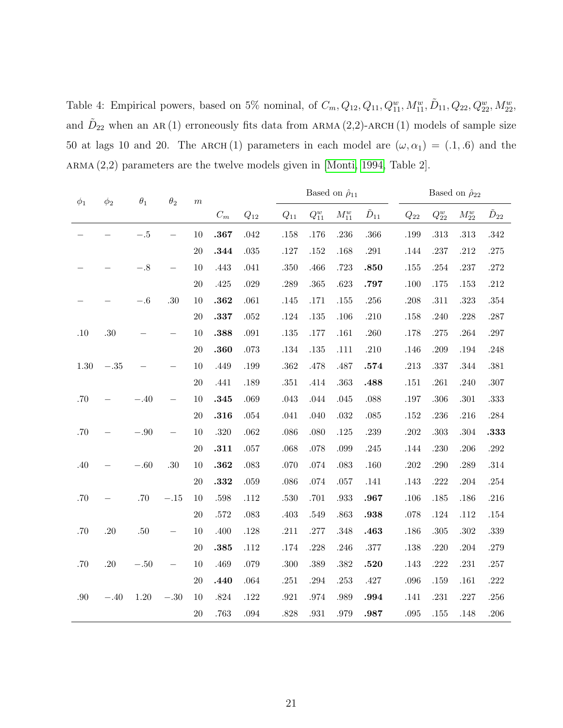<span id="page-20-0"></span>Table 4: Empirical powers, based on 5% nominal, of  $C_m, Q_{12}, Q_{11}, Q_{11}^w, M_{11}^w, \tilde{D}_{11}, Q_{22}, Q_{22}^w, M_{22}^w$ , and  $\tilde{D}_{22}$  when an AR(1) erroneously fits data from ARMA(2,2)-ARCH(1) models of sample size 50 at lags 10 and 20. The ARCH(1) parameters in each model are  $(\omega, \alpha_1) = (.1, .6)$  and the  $A\normalsize{RMA (2,2)}$  parameters are the twelve models given in [\[Monti, 1994,](#page-33-1) Table 2].

| $\phi_1$ | $\phi_2$ | $\theta_1$ | $\theta_2$ | $\boldsymbol{m}$ |          |          | Based on $\hat{\rho}_{11}$ |                      |            |                  | Based on $\hat{\rho}_{22}$ |                      |            |                  |
|----------|----------|------------|------------|------------------|----------|----------|----------------------------|----------------------|------------|------------------|----------------------------|----------------------|------------|------------------|
|          |          |            |            |                  | $C_m$    | $Q_{12}$ | $Q_{11}$                   | $\mathcal{Q}^w_{11}$ | $M_{11}^w$ | $\tilde{D}_{11}$ | $Q_{22}$                   | $\mathcal{Q}_{22}^w$ | $M_{22}^w$ | $\tilde{D}_{22}$ |
|          |          | $-.5$      |            | 10               | .367     | .042     | .158                       | .176                 | .236       | .366             | .199                       | .313                 | .313       | $.342\,$         |
|          |          |            |            | 20               | .344     | $.035\,$ | $.127\,$                   | $.152\,$             | .168       | $.291\,$         | $.144\,$                   | .237                 | .212       | .275             |
|          |          | $-.8$      |            | 10               | .443     | .041     | .350                       | .466                 | .723       | .850             | $.155\,$                   | .254                 | .237       | $.272\,$         |
|          |          |            |            | $20\,$           | $.425\,$ | .029     | .289                       | .365                 | .623       | .797             | .100                       | .175                 | .153       | $.212\,$         |
|          |          | $-.6$      | $.30\,$    | 10               | .362     | .061     | .145                       | .171                 | .155       | $.256\,$         | $.208\,$                   | .311                 | $.323\,$   | $.354\,$         |
|          |          |            |            | $20\,$           | .337     | $.052\,$ | .124                       | .135                 | .106       | .210             | .158                       | .240                 | .228       | $.287$           |
| $.10\,$  | .30      |            |            | 10               | .388     | .091     | .135                       | .177                 | .161       | .260             | .178                       | .275                 | .264       | .297             |
|          |          |            |            | $20\,$           | .360     | .073     | .134                       | .135                 | .111       | .210             | .146                       | .209                 | .194       | .248             |
| 1.30     | $-.35$   |            |            | 10               | .449     | .199     | .362                       | .478                 | .487       | .574             | $.213\,$                   | .337                 | .344       | $.381\,$         |
|          |          |            |            | $20\,$           | .441     | .189     | $.351\,$                   | .414                 | .363       | .488             | $.151\,$                   | $.261\,$             | .240       | $.307\,$         |
| $.70\,$  |          | $-.40$     |            | 10               | .345     | .069     | $.043\,$                   | .044                 | .045       | .088             | .197                       | .306                 | $.301\,$   | $.333\,$         |
|          |          |            |            | 20               | .316     | .054     | .041                       | .040                 | .032       | $.085\,$         | $.152\,$                   | .236                 | .216       | .284             |
| $.70\,$  |          | $-.90$     |            | 10               | $.320\,$ | .062     | $.086$                     | .080                 | .125       | .239             | $.202\,$                   | .303                 | .304       | .333             |
|          |          |            |            | $20\,$           | .311     | .057     | .068                       | .078                 | .099       | .245             | .144                       | .230                 | $.206\,$   | .292             |
| .40      |          | $-.60\,$   | .30        | 10               | .362     | $.083\,$ | $.070\,$                   | $.074\,$             | $.083\,$   | $.160\,$         | $.202\,$                   | $.290\,$             | $.289\,$   | $.314\,$         |
|          |          |            |            | $20\,$           | .332     | .059     | $.086$                     | .074                 | .057       | .141             | $.143\,$                   | .222                 | .204       | $.254\,$         |
| $.70\,$  |          | .70        | $-.15$     | 10               | .598     | .112     | .530                       | .701                 | .933       | .967             | .106                       | .185                 | .186       | .216             |
|          |          |            |            | $20\,$           | $.572\,$ | $.083\,$ | .403                       | .549                 | .863       | .938             | $.078\,$                   | .124                 | .112       | $.154\,$         |
| $.70\,$  | .20      | .50        |            | 10               | .400     | .128     | .211                       | .277                 | .348       | .463             | $.186\,$                   | .305                 | .302       | .339             |
|          |          |            |            | 20               | .385     | .112     | .174                       | .228                 | .246       | $.377\,$         | .138                       | .220                 | .204       | .279             |
| .70      | .20      | $-.50\,$   |            | $10\,$           | .469     | .079     | .300                       | $.389\,$             | .382       | .520             | .143                       | .222                 | $.231\,$   | $.257\,$         |
|          |          |            |            | 20               | .440     | .064     | $.251\,$                   | .294                 | .253       | $.427$           | .096                       | .159                 | $.161\,$   | .222             |
| .90      | $-.40$   | $1.20\,$   | $-.30\,$   | 10               | $.824\,$ | $.122\,$ | $.921\,$                   | .974                 | .989       | .994             | .141                       | .231                 | $.227\,$   | .256             |
|          |          |            |            | $20\,$           | .763     | .094     | .828                       | .931                 | .979       | .987             | .095                       | .155                 | .148       | .206             |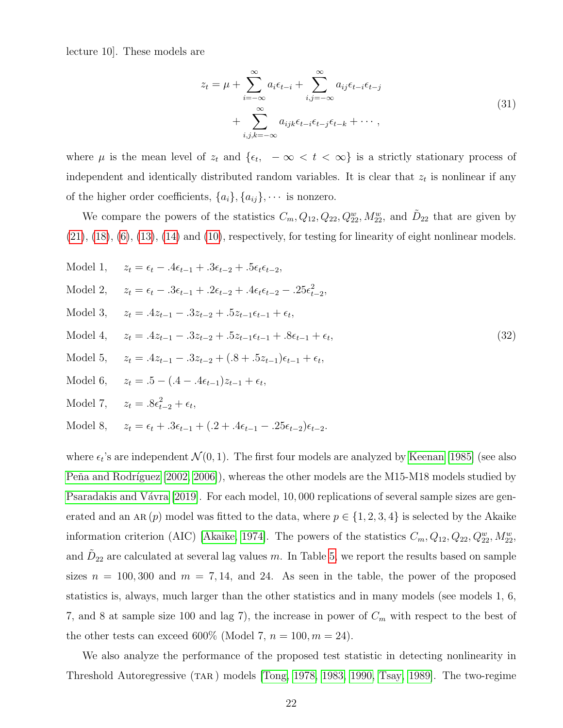lecture 10]. These models are

<span id="page-21-0"></span>
$$
z_{t} = \mu + \sum_{i=-\infty}^{\infty} a_{i} \epsilon_{t-i} + \sum_{i,j=-\infty}^{\infty} a_{ij} \epsilon_{t-i} \epsilon_{t-j}
$$
  
+ 
$$
\sum_{i,j,k=-\infty}^{\infty} a_{ijk} \epsilon_{t-i} \epsilon_{t-j} \epsilon_{t-k} + \cdots,
$$
 (31)

where  $\mu$  is the mean level of  $z_t$  and  $\{\epsilon_t, -\infty < t < \infty\}$  is a strictly stationary process of independent and identically distributed random variables. It is clear that  $z_t$  is nonlinear if any of the higher order coefficients,  $\{a_i\}$ ,  $\{a_{ij}\}$ ,  $\cdots$  is nonzero.

We compare the powers of the statistics  $C_m, Q_{12}, Q_{22}, Q_{22}^w, M_{22}^w$ , and  $\tilde{D}_{22}$  that are given by  $(21), (18), (6), (13), (14)$  $(21), (18), (6), (13), (14)$  $(21), (18), (6), (13), (14)$  $(21), (18), (6), (13), (14)$  $(21), (18), (6), (13), (14)$  $(21), (18), (6), (13), (14)$  $(21), (18), (6), (13), (14)$  $(21), (18), (6), (13), (14)$  $(21), (18), (6), (13), (14)$  and  $(10),$  respectively, for testing for linearity of eight nonlinear models.

| Model 1, $z_t = \epsilon_t - 0.4\epsilon_{t-1} + 0.3\epsilon_{t-2} + 0.5\epsilon_t\epsilon_{t-2}$ ,                      |                    |
|--------------------------------------------------------------------------------------------------------------------------|--------------------|
| Model 2, $z_t = \epsilon_t - 0.3\epsilon_{t-1} + 0.2\epsilon_{t-2} + 0.4\epsilon_t\epsilon_{t-2} - 0.25\epsilon_{t-2}^2$ |                    |
| Model 3, $z_t = .4z_{t-1} - .3z_{t-2} + .5z_{t-1}\epsilon_{t-1} + \epsilon_t$                                            |                    |
| Model 4, $z_t = .4z_{t-1} - .3z_{t-2} + .5z_{t-1}\epsilon_{t-1} + .8\epsilon_{t-1} + \epsilon_t,$                        | $\left( 32\right)$ |
| Model 5, $z_t = .4z_{t-1} - .3z_{t-2} + (.8 + .5z_{t-1})\epsilon_{t-1} + \epsilon_t,$                                    |                    |
| Model 6, $z_t = .5 - (.4 - .4\epsilon_{t-1})z_{t-1} + \epsilon_t,$                                                       |                    |
| Model 7, $z_t = .8\epsilon_{t-2}^2 + \epsilon_t$ ,                                                                       |                    |
| Model 8, $z_t = \epsilon_t + .3\epsilon_{t-1} + (.2 + .4\epsilon_{t-1} - .25\epsilon_{t-2})\epsilon_{t-2}.$              |                    |

where  $\epsilon_t$ 's are independent  $\mathcal{N}(0,1)$ . The first four models are analyzed by [Keenan \[1985\]](#page-32-9) (see also Peňa and Rodríguez [2002, [2006\]](#page-33-3)), whereas the other models are the M15-M18 models studied by Psaradakis and Vávra [2019]. For each model, 10,000 replications of several sample sizes are generated and an AR $(p)$  model was fitted to the data, where  $p \in \{1, 2, 3, 4\}$  is selected by the Akaike information criterion (AIC) [\[Akaike, 1974\]](#page-31-3). The powers of the statistics  $C_m, Q_{12}, Q_{22}, Q_{22}^w, M_{22}^w$ , and  $\tilde{D}_{22}$  are calculated at several lag values m. In Table [5,](#page-22-0) we report the results based on sample sizes  $n = 100, 300$  and  $m = 7, 14$ , and 24. As seen in the table, the power of the proposed statistics is, always, much larger than the other statistics and in many models (see models 1, 6, 7, and 8 at sample size 100 and lag 7), the increase in power of  $C_m$  with respect to the best of the other tests can exceed 600% (Model 7,  $n = 100, m = 24$ ).

We also analyze the performance of the proposed test statistic in detecting nonlinearity in Threshold Autoregressive (TAR) models [\[Tong, 1978,](#page-34-2) [1983,](#page-33-11) [1990,](#page-33-12) [Tsay, 1989\]](#page-34-3). The two-regime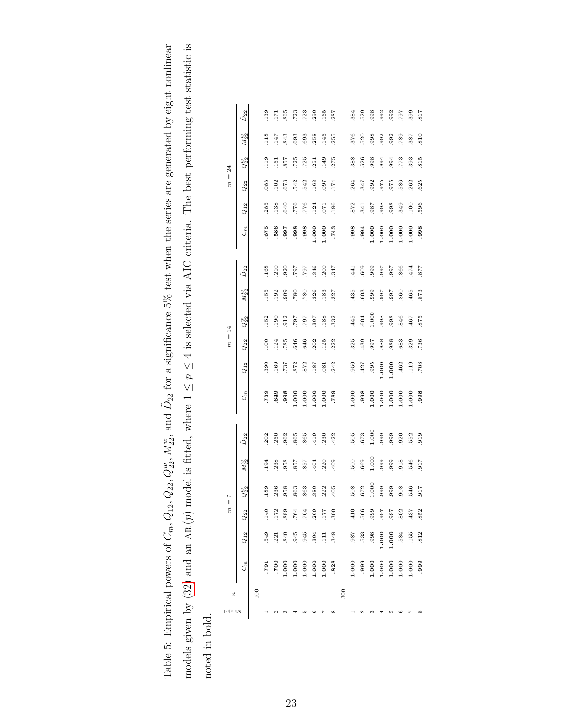<span id="page-22-0"></span>

|                                | $\tilde{D}_{22}$   |         | 139  | 171              | 865            | .723               | .723      | 290     | 165              | 287          |     | .384  | 529  | 998   | .992    | 992   | 797   | 399     | 817          |
|--------------------------------|--------------------|---------|------|------------------|----------------|--------------------|-----------|---------|------------------|--------------|-----|-------|------|-------|---------|-------|-------|---------|--------------|
|                                | $M_{22}^w$         |         | .118 | 147              | 843            | 693                | 693       | 258     | 145              | 255          |     | 376   | 520  | 998   | 992     | 992   | .789  | 387     | .810         |
| 24                             | $Q_{22}^w$         |         | 119  | $\overline{151}$ | 857            | 725                | 725       | 251     | 149              | 275          |     | 388   | 526  | 998   | .994    | 994   | 773   | 393     | 815          |
| $\parallel$<br>$\tilde{n}$     | $Q_{22}$           |         | 083  | 102              | 673            | 542                | 542       | 163     | 760              | 174          |     | 264   | 347  | 992   | 975     | 975   | 586   | 262     | 625          |
|                                | $Q_{12}$           |         | 285  | 138              | 640            | .776               | .776      | .124    | 071              | .186         |     | .872  | 341  | .987  | 998     | 998   | .349  | 100     | 596          |
|                                | $C_{m}$            |         | 675  | 586              | 766.           | .998               | .998      | 0001    | 0001             | .743         |     | 866.  | .994 | 000.1 | 1.000   | 1.000 | 0001  | 1.000   | .998         |
|                                | $\tilde{D}_{22}$   |         | 168  | 210              | 920            | 797                | 797       | 346     | 200              | 347          |     | 441   | 609  | 999   | 566     | .997  | 866   | 474     | 877          |
|                                | $M_{22}^w$         |         | 155  | 192              | 909            | $780\,$            | 780       | 326     | 183              | 327          |     | 435   | 603  | 999   | 566     | 766   | 860   | 465     | 873          |
|                                | $Q_{22}^w$         |         | 152  | 190              | .912           | 797                | 707       | .307    | 188              | 332          |     | .445  | 604  | 1.000 | 998     | 998   | 846   | 467     | 875          |
| $= 14$<br>$\tilde{n}$          | $Q_{22}$           |         | 100  | 124              | 785            | 646                | 646       | .202    | 125              | 222          |     | .325  | 439  | .997  | .988    | 988   | 683   | 329     | .736         |
|                                | $Q_{12}$           |         | 390  | 169              | 737            | 872                | 872       | 187     | 081              | 242          |     | .950  | 427  | .995  | 1.000   | 0001  | 462   | 119     | 708          |
|                                | $C_{m}$            |         | .739 | .649             | 866.           | 000.1              | 000.1     | $000$ . | 0001             | .789         |     | 000.1 | 866. | 000.1 | 000.1   | 000.1 | 000.1 | $000$ . | 998.         |
|                                | $\tilde{D}_{22}$   |         | 202  | 250              | 962            | 865                | 865       | 419     | 230              | 422          |     | 505   | 673  | 1.000 | 999     | 999   | .920  | 552     | .919         |
|                                | $M_{22}^w$         |         | 194  | 238              | 958            | 758.               | 857       | 404     | 220              | .409         |     | 500   | 669  | 1.000 | .999    | 999   | .918  | 546     | .917         |
| $\overline{1}$                 | $Q_{22}^w$         |         | 189  | 236              | .958           | 863                | 863       | 380     | .222             | 405          |     | 508   | 672  | 1.000 | 999     | 999   | .908  | 546     | 917          |
| $\lvert \rvert$<br>$\tilde{n}$ | $\mathcal{Q}_{22}$ |         | .140 | 172              | 889            | .764               | $764\,$   | .269    | $177$            | 300          |     | 410   | 566  | 0.66  | 766.    | 766.  | .802  | 437     | 852          |
|                                | $\mathcal{Q}_{12}$ |         | 549  | .221             | $\bf 840$      | .945               | 945       | .304    | $\overline{111}$ | .348         |     |       | .533 | 998   | $1.000$ | 1.000 | .584  | .155    | .812         |
|                                | $C_m$              |         | 161. |                  | 000.1<br>000.1 | $1.000$<br>$1.000$ |           | 1.000   | 1.000            | .828         |     | 1.000 | 666  | 1.000 | $1.000$ | 1.000 | 1.000 | 1.000   | 666.         |
| r.                             |                    | $100\,$ |      |                  |                |                    |           |         |                  |              | 300 |       |      |       |         |       |       |         |              |
| Model                          |                    |         |      | N                | ∞              |                    | <b>LO</b> | G       | N                | ${}^{\circ}$ |     |       | N    | ∞     |         | LO.   | G     | Ņ       | ${}^{\circ}$ |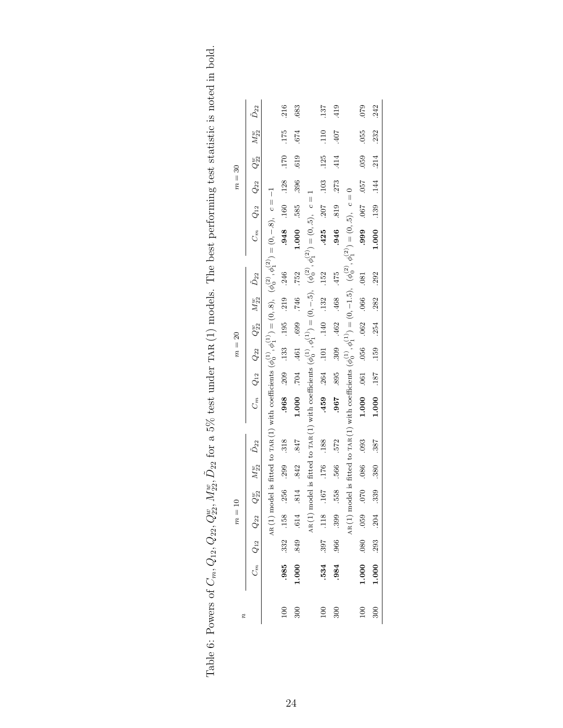|          | $\tilde{D}_{22}$                                             |                                                                                                                                 | .216            | 683               |                                                                                                                                 | 137                         | 419            |                                                                                                                                     | 079                              | .242                   |
|----------|--------------------------------------------------------------|---------------------------------------------------------------------------------------------------------------------------------|-----------------|-------------------|---------------------------------------------------------------------------------------------------------------------------------|-----------------------------|----------------|-------------------------------------------------------------------------------------------------------------------------------------|----------------------------------|------------------------|
|          | $M_{22}^w$                                                   |                                                                                                                                 | .175            | 674               |                                                                                                                                 | 110                         | .407           |                                                                                                                                     | 055                              | 232                    |
|          |                                                              |                                                                                                                                 | .170            | .619              |                                                                                                                                 | .125                        | 414            |                                                                                                                                     | 059                              | 214                    |
| $m = 30$ | $C_m$ $Q_{12}$ $Q_{22}$ $Q_{22}^w$                           |                                                                                                                                 | .128            | 396               |                                                                                                                                 | .103                        | 273            |                                                                                                                                     |                                  |                        |
|          |                                                              |                                                                                                                                 | 0948 160        | 585.              |                                                                                                                                 | $.425 - .207$               | .819           |                                                                                                                                     | 1999 790 866.                    | 1.000 1.39 1.44        |
|          |                                                              | fitted to TAR (1) with coefficients $(\phi_0^{(1)}, \phi_1^{(1)}) = (0, 8), \ (\phi_0^{(2)}, \phi_1^{(2)}) = (0, -8), \ c = -1$ |                 | 1.000             | fitted to TAR(1) with coefficients $(\phi_0^{(1)}, \phi_1^{(1)}) = (0, -5)$ , $(\phi_0^{(2)}, \phi_1^{(2)}) = (0, 5)$ , $c = 1$ |                             | .946           | fitted to TAR (1) with coefficients $(\phi_0^{(1)}, \phi_1^{(1)}) = (0, -1.5)$ , $(\phi_0^{(2)}, \phi_1^{(2)}) = (0, .5)$ , $c = 0$ |                                  |                        |
|          |                                                              |                                                                                                                                 | .246            | .752              |                                                                                                                                 | .152                        | .475           |                                                                                                                                     | .081                             | .292                   |
|          | $C_m$ $Q_{12}$ $Q_{22}$ $Q_{22}$ $M_{22}^w$ $\tilde{D}_{22}$ |                                                                                                                                 | 219             | .746              |                                                                                                                                 |                             | .309 .462 .468 |                                                                                                                                     |                                  | .282                   |
|          |                                                              |                                                                                                                                 | .209 .133 .195  | 461 .699          |                                                                                                                                 | $.264$ $.101$ $.140$ $.132$ |                |                                                                                                                                     | $.056$ $.062$ $.066$             | $1.000$ .187 .159 .254 |
| $m=20$   |                                                              |                                                                                                                                 |                 |                   |                                                                                                                                 |                             |                |                                                                                                                                     |                                  |                        |
|          |                                                              |                                                                                                                                 |                 | F04.              |                                                                                                                                 |                             | 895            |                                                                                                                                     |                                  |                        |
|          |                                                              |                                                                                                                                 | .968            | 1.000             |                                                                                                                                 | .459                        | .967           |                                                                                                                                     | 1.000 .061                       |                        |
|          |                                                              |                                                                                                                                 | .318            | .847              |                                                                                                                                 | .188                        | 572            |                                                                                                                                     | .093                             | .387                   |
|          | $M^\text{w}_{22}$ – $\tilde{D}_{22}$                         |                                                                                                                                 | 299             | .842              |                                                                                                                                 | .176                        | 566.           |                                                                                                                                     | .086                             | $\frac{380}{ }$        |
|          |                                                              | $_{\rm AR}(1)$ model is                                                                                                         |                 |                   | $AR(1)$ model is                                                                                                                |                             | .399 558       | $_{\rm AR}(1)$ model is                                                                                                             |                                  |                        |
| $m=10\,$ |                                                              |                                                                                                                                 | .332 .158 .256  | 849 614 814       |                                                                                                                                 | 167. 811. 708.              |                |                                                                                                                                     |                                  |                        |
|          | $C_m$ $Q_{12}$ $Q_{22}$ $Q_{22}^w$                           |                                                                                                                                 |                 |                   |                                                                                                                                 |                             | .966           |                                                                                                                                     | $0.070$ $0.050$ $0.050$ $0.0001$ | $1.000$ .293 .204 .339 |
|          |                                                              |                                                                                                                                 | .985            | 1.000             |                                                                                                                                 | .534                        | .984           |                                                                                                                                     |                                  |                        |
| r,       |                                                              |                                                                                                                                 | $\overline{00}$ | $\frac{300}{200}$ |                                                                                                                                 | 100                         | 300            |                                                                                                                                     | 100                              | 300                    |

<span id="page-23-0"></span>Table 6: Powers of  $C_m$ ,  $Q_{12}$ ,  $Q_{22}$ ,  $Q_{22}^w$ ,  $M_{22}^w$ ,  $\tilde{D}_{22}$  for a 5% test under TAR (1) models. The best performing test statistic is noted in bold. Table 6: Powers of  $C_m, Q_{12}, Q_{22}, Q_{22}^w, M_{22}^w, \tilde{D}_{22}$  for a 5% test under TAR (1) models. The best performing test statistic is noted in bold.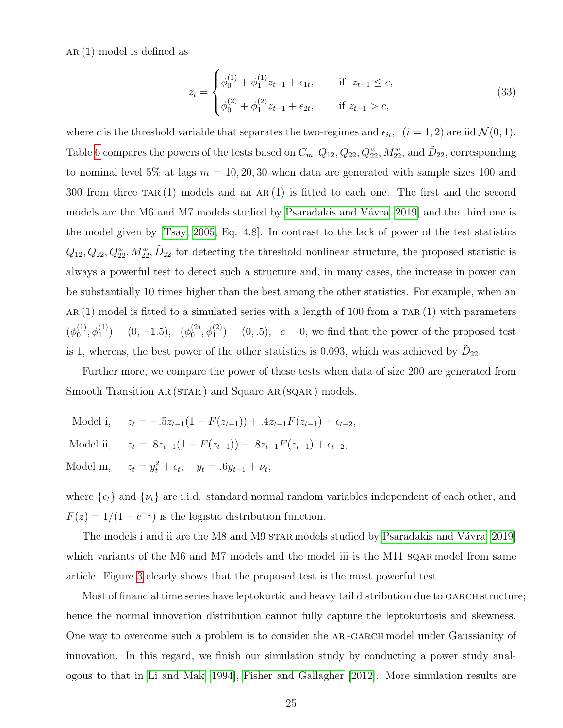$AR(1)$  model is defined as

$$
z_{t} = \begin{cases} \phi_{0}^{(1)} + \phi_{1}^{(1)} z_{t-1} + \epsilon_{1t}, & \text{if } z_{t-1} \leq c, \\ \phi_{0}^{(2)} + \phi_{1}^{(2)} z_{t-1} + \epsilon_{2t}, & \text{if } z_{t-1} > c, \end{cases}
$$
(33)

where c is the threshold variable that separates the two-regimes and  $\epsilon_{it}$ ,  $(i = 1, 2)$  are iid  $\mathcal{N}(0, 1)$ . Table [6](#page-23-0) compares the powers of the tests based on  $C_m$ ,  $Q_{12}$ ,  $Q_{22}$ ,  $Q_{22}^w$ ,  $M_{22}^w$ , and  $\tilde{D}_{22}$ , corresponding to nominal level 5% at lags  $m = 10, 20, 30$  when data are generated with sample sizes 100 and 300 from three TAR(1) models and an AR(1) is fitted to each one. The first and the second models are the M6 and M7 models studied by Psaradakis and Vávra [2019] and the third one is the model given by [\[Tsay, 2005,](#page-34-0) Eq. 4.8]. In contrast to the lack of power of the test statistics  $Q_{12}, Q_{22}, Q_{22}^w, M_{22}^w, \tilde{D}_{22}$  for detecting the threshold nonlinear structure, the proposed statistic is always a powerful test to detect such a structure and, in many cases, the increase in power can be substantially 10 times higher than the best among the other statistics. For example, when an AR(1) model is fitted to a simulated series with a length of 100 from a TAR(1) with parameters  $(\phi_0^{(1)}$  $\phi_0^{(1)}, \phi_1^{(1)}$  = (0, -1.5), ( $\phi_0^{(2)}$  $\binom{2}{0}, \phi_1^{(2)} = (0, .5), c = 0$ , we find that the power of the proposed test is 1, whereas, the best power of the other statistics is 0.093, which was achieved by  $\tilde{D}_{22}$ .

Further more, we compare the power of these tests when data of size 200 are generated from Smooth Transition AR (STAR) and Square AR (SQAR) models.

Model i,  $z_t = -.5z_{t-1}(1 - F(z_{t-1})) + .4z_{t-1}F(z_{t-1}) + \epsilon_{t-2}$ Model ii,  $z_t = .8z_{t-1}(1 - F(z_{t-1})) - .8z_{t-1}F(z_{t-1}) + \epsilon_{t-2}$ Model iii,  $t_t^2 + \epsilon_t$ ,  $y_t = .6y_{t-1} + \nu_t$ ,

where  $\{\epsilon_t\}$  and  $\{\nu_t\}$  are i.i.d. standard normal random variables independent of each other, and  $F(z) = 1/(1 + e^{-z})$  is the logistic distribution function.

The models i and ii are the M8 and M9 STAR models studied by Psaradakis and Vávra [2019] which variants of the M6 and M7 models and the model iii is the M11 sq are model from same article. Figure [3](#page-25-1) clearly shows that the proposed test is the most powerful test.

Most of financial time series have leptokurtic and heavy tail distribution due to GARCH structure; hence the normal innovation distribution cannot fully capture the leptokurtosis and skewness. One way to overcome such a problem is to consider the AR-GARCH model under Gaussianity of innovation. In this regard, we finish our simulation study by conducting a power study analogous to that in [Li and Mak \[1994\]](#page-32-5), [Fisher and Gallagher \[2012\]](#page-32-4). More simulation results are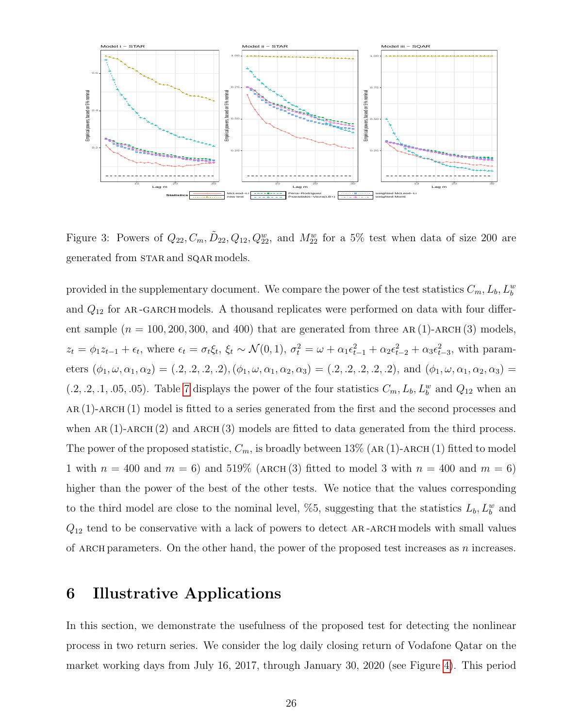

<span id="page-25-1"></span>Figure 3: Powers of  $Q_{22}, C_m, \tilde{D}_{22}, Q_{12}, Q_{22}^w$ , and  $M_{22}^w$  for a 5% test when data of size 200 are generated from STAR and SQAR models.

provided in the supplementary document. We compare the power of the test statistics  $C_m$ ,  $L_b$ ,  $L_b^w$ and  $Q_{12}$  for AR-GARCH models. A thousand replicates were performed on data with four different sample  $(n = 100, 200, 300, \text{ and } 400)$  that are generated from three AR (1)-ARCH (3) models.  $z_t = \phi_1 z_{t-1} + \epsilon_t$ , where  $\epsilon_t = \sigma_t \xi_t$ ,  $\xi_t \sim \mathcal{N}(0, 1)$ ,  $\sigma_t^2 = \omega + \alpha_1 \epsilon_{t-1}^2 + \alpha_2 \epsilon_{t-2}^2 + \alpha_3 \epsilon_{t-3}^2$ , with parameters  $(\phi_1, \omega, \alpha_1, \alpha_2) = (0.2, 0.2, 0.2), (\phi_1, \omega, \alpha_1, \alpha_2, \alpha_3) = (0.2, 0.2, 0.2, 0.2), \text{ and } (\phi_1, \omega, \alpha_1, \alpha_2, \alpha_3) = (0.2, 0.2, 0.2, 0.2), \text{ and } (\phi_1, \omega, \alpha_1, \alpha_2, \alpha_3) = (0.2, 0.2, 0.2, 0.2), \text{ and } (\phi_1, \omega, \alpha_1, \alpha_2, \alpha_3) = (0.2, 0.2$  $(0.2, 0.2, 0.1, 0.05, 0.05)$ . Table [7](#page-26-0) displays the power of the four statistics  $C_m$ ,  $L_b$ ,  $L_b^w$  and  $Q_{12}$  when an ar (1)-arch (1) model is fitted to a series generated from the first and the second processes and when  $AR(1)$ -ARCH $(2)$  and ARCH $(3)$  models are fitted to data generated from the third process. The power of the proposed statistic,  $C_m$ , is broadly between 13% (AR (1)-ARCH (1) fitted to model 1 with  $n = 400$  and  $m = 6$ ) and 519% (ARCH (3) fitted to model 3 with  $n = 400$  and  $m = 6$ ) higher than the power of the best of the other tests. We notice that the values corresponding to the third model are close to the nominal level, %5, suggesting that the statistics  $L_b, L_b^w$  and  $Q_{12}$  tend to be conservative with a lack of powers to detect AR-ARCH models with small values of ARCH parameters. On the other hand, the power of the proposed test increases as  $n$  increases.

### <span id="page-25-0"></span>6 Illustrative Applications

In this section, we demonstrate the usefulness of the proposed test for detecting the nonlinear process in two return series. We consider the log daily closing return of Vodafone Qatar on the market working days from July 16, 2017, through January 30, 2020 (see Figure [4\)](#page-27-0). This period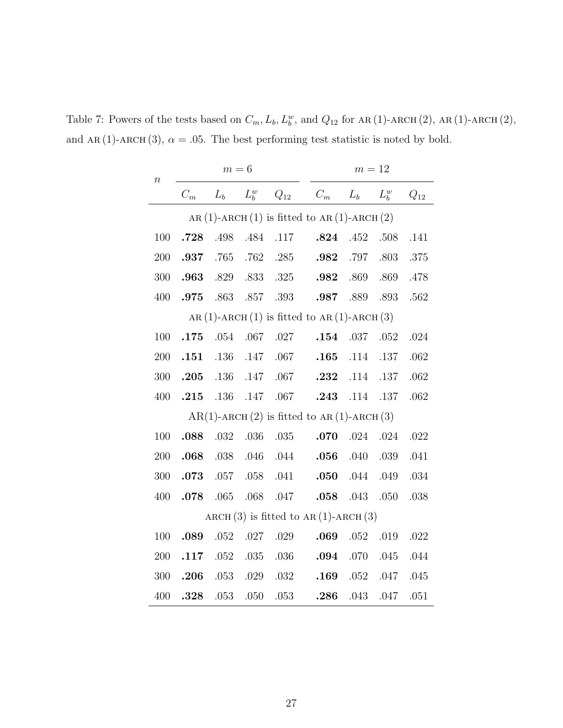<span id="page-26-0"></span>Table 7: Powers of the tests based on  $C_m$ ,  $L_b$ ,  $L_b^w$ , and  $Q_{12}$  for AR(1)-ARCH(2), AR(1)-ARCH(2), and AR(1)-ARCH(3),  $\alpha = .05$ . The best performing test statistic is noted by bold.

| $\, n$  |       | $m=6$    |                        |                     | $m=12$                                                |                |         |          |  |  |  |
|---------|-------|----------|------------------------|---------------------|-------------------------------------------------------|----------------|---------|----------|--|--|--|
|         | $C_m$ |          | $L_b$ $L_b^w$ $Q_{12}$ |                     | $C_m$ $L_b$                                           |                | $L_b^w$ | $Q_{12}$ |  |  |  |
|         |       |          |                        |                     | AR (1)-ARCH (1) is fitted to AR (1)-ARCH (2)          |                |         |          |  |  |  |
| 100     |       |          |                        | .728 .498 .484 .117 |                                                       | .824 .452 .508 |         | .141     |  |  |  |
| 200     | .937  | .765     |                        | .762 .285           | .982                                                  | .797           | .803    | .375     |  |  |  |
| $300\,$ |       |          |                        | .963 .829 .833 .325 |                                                       | .982 .869 .869 |         | .478     |  |  |  |
| 400     |       |          |                        |                     | .975 .863 .857 .393 .987 .889 .893                    |                |         | .562     |  |  |  |
|         |       |          |                        |                     | AR (1)-ARCH (1) is fitted to AR (1)-ARCH (3)          |                |         |          |  |  |  |
| 100     |       |          |                        | .175 .054 .067 .027 |                                                       | .154 .037 .052 |         | .024     |  |  |  |
| 200     | .151  |          |                        | .136 .147 .067      |                                                       | .165 .114 .137 |         | .062     |  |  |  |
| 300     |       |          |                        | .205 .136 .147 .067 | .232 .114 .137                                        |                |         | .062     |  |  |  |
| 400     |       |          |                        |                     | .215 .136 .147 .067 .243 .114 .137                    |                |         | .062     |  |  |  |
|         |       |          |                        |                     | $AR(1)$ -ARCH $(2)$ is fitted to AR $(1)$ -ARCH $(3)$ |                |         |          |  |  |  |
| 100     | .088  | .032     | .036                   | .035                |                                                       | .070 .024 .024 |         | .022     |  |  |  |
| 200     | .068  |          |                        | .038 .046 .044      |                                                       | .056 .040      | .039    | .041     |  |  |  |
| 300     | .073  |          |                        | .057 .058 .041      |                                                       | .050 .044      | .049    | .034     |  |  |  |
| 400     | .078  | .065     |                        | .068 .047           |                                                       | .058 .043      | .050    | .038     |  |  |  |
|         |       |          |                        |                     | ARCH $(3)$ is fitted to AR $(1)$ -ARCH $(3)$          |                |         |          |  |  |  |
| 100     | .089  | $.052\,$ | .027                   | .029                | .069                                                  | .052           | .019    | .022     |  |  |  |
| 200     | .117  |          |                        | .052 .035 .036      | .094                                                  | .070           | .045    | .044     |  |  |  |
| 300     | .206  |          | $.053$ $.029$          | .032                | .169                                                  | .052 .047      |         | .045     |  |  |  |
| 400     | .328  | .053     | .050                   | .053                | .286                                                  | .043           | .047    | .051     |  |  |  |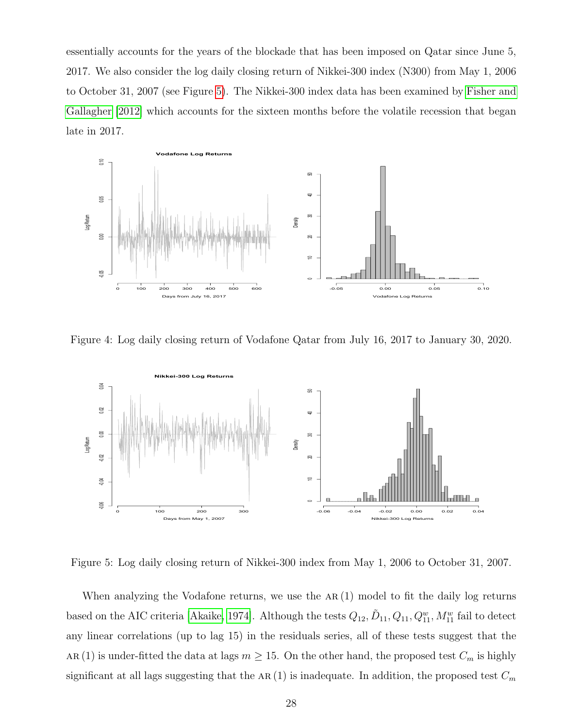essentially accounts for the years of the blockade that has been imposed on Qatar since June 5, 2017. We also consider the log daily closing return of Nikkei-300 index (N300) from May 1, 2006 to October 31, 2007 (see Figure [5\)](#page-27-1). The Nikkei-300 index data has been examined by [Fisher and](#page-32-4) [Gallagher \[2012\]](#page-32-4) which accounts for the sixteen months before the volatile recession that began late in 2017.



<span id="page-27-0"></span>Figure 4: Log daily closing return of Vodafone Qatar from July 16, 2017 to January 30, 2020.



<span id="page-27-1"></span>Figure 5: Log daily closing return of Nikkei-300 index from May 1, 2006 to October 31, 2007.

When analyzing the Vodafone returns, we use the  $AR(1)$  model to fit the daily log returns based on the AIC criteria [\[Akaike, 1974\]](#page-31-3). Although the tests  $Q_{12}$ ,  $\tilde{D}_{11}$ ,  $Q_{11}$ ,  $Q_{11}^w$ ,  $M_{11}^w$  fail to detect any linear correlations (up to lag 15) in the residuals series, all of these tests suggest that the AR (1) is under-fitted the data at lags  $m \ge 15$ . On the other hand, the proposed test  $C_m$  is highly significant at all lags suggesting that the AR(1) is inadequate. In addition, the proposed test  $C_m$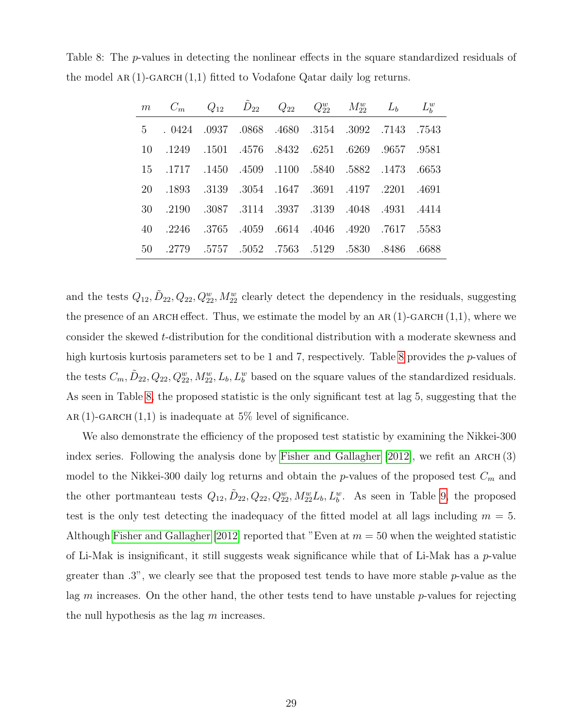<span id="page-28-0"></span>Table 8: The p-values in detecting the nonlinear effects in the square standardized residuals of the model AR $(1)$ -GARCH $(1,1)$  fitted to Vodafone Qatar daily log returns.

| m $C_m$ $Q_{12}$ $D_{22}$ $Q_{22}$ $Q_{23}^w$ $M_{22}^w$ $L_b$ $L_b^w$ |  |  |  |  |
|------------------------------------------------------------------------|--|--|--|--|
| 5 . 0424 .0937 .0868 .4680 .3154 .3092 .7143 .7543                     |  |  |  |  |
| 10 .1249 .1501 .4576 .8432 .6251 .6269 .9657 .9581                     |  |  |  |  |
| 15 .1717 .1450 .4509 .1100 .5840 .5882 .1473 .6653                     |  |  |  |  |
| 20 .1893 .3139 .3054 .1647 .3691 .4197 .2201 .4691                     |  |  |  |  |
| 30 .2190 .3087 .3114 .3937 .3139 .4048 .4931 .4414                     |  |  |  |  |
| 40 .2246 .3765 .4059 .6614 .4046 .4920 .7617 .5583                     |  |  |  |  |
| 5830 .8486 .6688 .5757 .5052 .7563 .5129 .5830 .8486                   |  |  |  |  |

and the tests  $Q_{12}, \tilde{D}_{22}, Q_{22}, Q_{22}^w, M_{22}^w$  clearly detect the dependency in the residuals, suggesting the presence of an ARCH effect. Thus, we estimate the model by an AR $(1)$ -GARCH $(1,1)$ , where we consider the skewed t-distribution for the conditional distribution with a moderate skewness and high kurtosis kurtosis parameters set to be 1 and 7, respectively. Table [8](#page-28-0) provides the *p*-values of the tests  $C_m$ ,  $\tilde{D}_{22}$ ,  $Q_{22}$ ,  $Q_{22}^w$ ,  $M_{22}^w$ ,  $L_b$ ,  $L_b^w$  based on the square values of the standardized residuals. As seen in Table [8,](#page-28-0) the proposed statistic is the only significant test at lag 5, suggesting that the AR (1)-GARCH  $(1,1)$  is inadequate at 5% level of significance.

We also demonstrate the efficiency of the proposed test statistic by examining the Nikkei-300 index series. Following the analysis done by Fisher and Gallagher  $[2012]$ , we refit an ARCH $(3)$ model to the Nikkei-300 daily log returns and obtain the p-values of the proposed test  $C_m$  and the other portmanteau tests  $Q_{12}$ ,  $\tilde{D}_{22}$ ,  $Q_{22}$ ,  $Q_{22}^w$ ,  $M_{22}^w L_b$ ,  $L_b^w$ . As seen in Table [9,](#page-29-1) the proposed test is the only test detecting the inadequacy of the fitted model at all lags including  $m = 5$ . Although [Fisher and Gallagher \[2012\]](#page-32-4) reported that "Even at  $m = 50$  when the weighted statistic of Li-Mak is insignificant, it still suggests weak significance while that of Li-Mak has a p-value greater than .3", we clearly see that the proposed test tends to have more stable p-value as the lag  $m$  increases. On the other hand, the other tests tend to have unstable  $p$ -values for rejecting the null hypothesis as the lag  $m$  increases.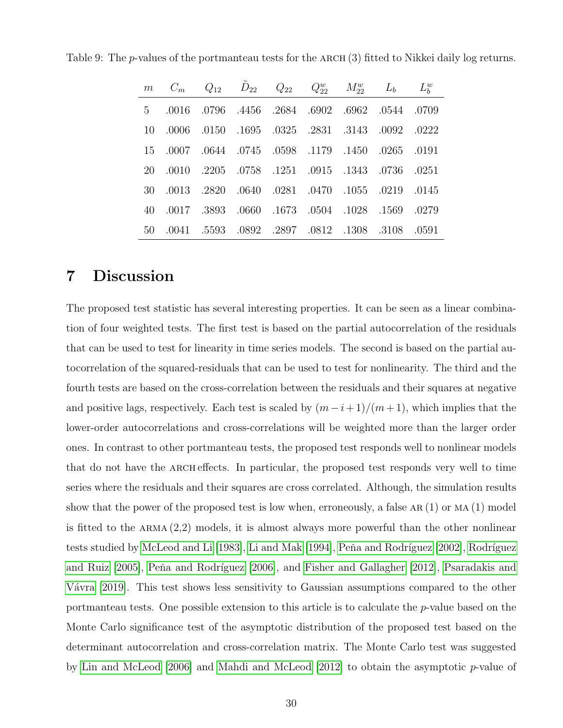| m $C_m$ $Q_{12}$ $D_{22}$ $Q_{22}$ $Q_{22}^w$ $M_{22}^w$ $L_b$ $L_b^w$ |  |  |  |  |
|------------------------------------------------------------------------|--|--|--|--|
| 5 .0016 .0796 .4456 .2684 .6902 .6962 .0544 .0709                      |  |  |  |  |
| 10 .0006 .0150 .1695 .0325 .2831 .3143 .0092 .0222                     |  |  |  |  |
| 15 .0007 .0644 .0745 .0598 .1179 .1450 .0265 .0191                     |  |  |  |  |
| 20. 0251. 1343. 0736. 0251. 0758. 0758. 0758. 0915. 0915. 0736         |  |  |  |  |
| 30 .0013 .2820 .0640 .0281 .0470 .1055 .0219 .0145                     |  |  |  |  |
| 40 .0017 .3893 .0660 .1673 .0504 .1028 .1569 .0279                     |  |  |  |  |
| 50 .0041 .5593 .0892 .2897 .0812 .1308 .3108 .0591                     |  |  |  |  |

<span id="page-29-1"></span>Table 9: The *p*-values of the portmanteau tests for the ARCH (3) fitted to Nikkei daily log returns.

### <span id="page-29-0"></span>7 Discussion

The proposed test statistic has several interesting properties. It can be seen as a linear combination of four weighted tests. The first test is based on the partial autocorrelation of the residuals that can be used to test for linearity in time series models. The second is based on the partial autocorrelation of the squared-residuals that can be used to test for nonlinearity. The third and the fourth tests are based on the cross-correlation between the residuals and their squares at negative and positive lags, respectively. Each test is scaled by  $(m-i+1)/(m+1)$ , which implies that the lower-order autocorrelations and cross-correlations will be weighted more than the larger order ones. In contrast to other portmanteau tests, the proposed test responds well to nonlinear models that do not have the ARCH effects. In particular, the proposed test responds very well to time series where the residuals and their squares are cross correlated. Although, the simulation results show that the power of the proposed test is low when, erroneously, a false AR $(1)$  or MA $(1)$  model is fitted to the  $ARMA$   $(2,2)$  models, it is almost always more powerful than the other nonlinear tests studied by [McLeod and Li \[1983\]](#page-33-4), [Li and Mak \[1994\]](#page-32-5), Peňa and Rodríguez [2002], Rodríguez and Ruiz  $[2005]$ , Peňa and Rodríguez  $[2006]$ , and Fisher and Gallagher  $[2012]$ , [Psaradakis and](#page-33-6) Vávra [2019]. This test shows less sensitivity to Gaussian assumptions compared to the other portmanteau tests. One possible extension to this article is to calculate the p-value based on the Monte Carlo significance test of the asymptotic distribution of the proposed test based on the determinant autocorrelation and cross-correlation matrix. The Monte Carlo test was suggested by [Lin and McLeod \[2006\]](#page-32-10) and [Mahdi and McLeod \[2012\]](#page-32-11) to obtain the asymptotic p-value of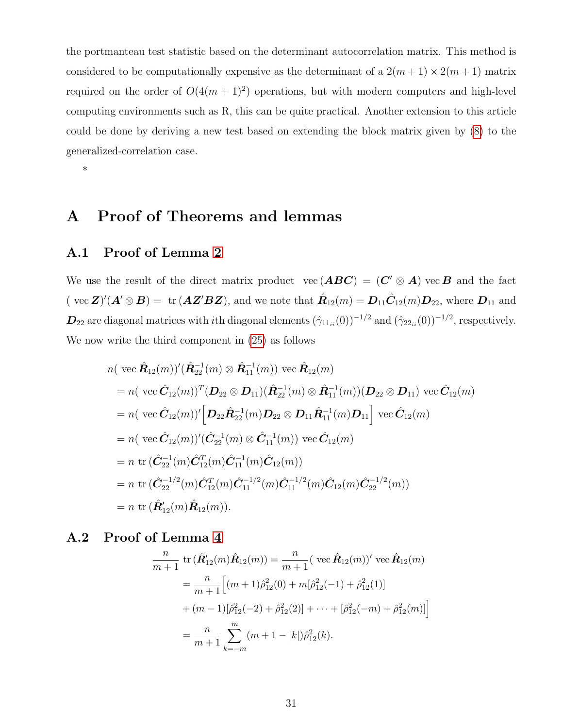the portmanteau test statistic based on the determinant autocorrelation matrix. This method is considered to be computationally expensive as the determinant of a  $2(m+1) \times 2(m+1)$  matrix required on the order of  $O(4(m+1)^2)$  operations, but with modern computers and high-level computing environments such as R, this can be quite practical. Another extension to this article could be done by deriving a new test based on extending the block matrix given by [\(8\)](#page-4-0) to the generalized-correlation case.

\*

# A Proof of Theorems and lemmas

#### A.1 Proof of Lemma [2](#page-10-0)

We use the result of the direct matrix product vec  $(ABC) = (C' \otimes A)$  vec B and the fact (vec  $\mathbf{Z}$ )'( $\mathbf{A}' \otimes \mathbf{B}$ ) = tr ( $\mathbf{A} \mathbf{Z}' \mathbf{B} \mathbf{Z}$ ), and we note that  $\hat{\mathbf{R}}_{12}(m) = \mathbf{D}_{11} \hat{\mathbf{C}}_{12}(m) \mathbf{D}_{22}$ , where  $\mathbf{D}_{11}$  and  $D_{22}$  are diagonal matrices with *i*th diagonal elements  $(\hat{\gamma}_{11_{ii}}(0))^{-1/2}$  and  $(\hat{\gamma}_{22_{ii}}(0))^{-1/2}$ , respectively. We now write the third component in [\(25\)](#page-9-3) as follows

$$
n(\text{vec } \hat{\mathbf{R}}_{12}(m))'(\hat{\mathbf{R}}_{22}^{-1}(m) \otimes \hat{\mathbf{R}}_{11}^{-1}(m)) \text{vec } \hat{\mathbf{R}}_{12}(m)
$$
  
\n
$$
= n(\text{vec } \hat{\mathbf{C}}_{12}(m))^{T}(\mathbf{D}_{22} \otimes \mathbf{D}_{11})(\hat{\mathbf{R}}_{22}^{-1}(m) \otimes \hat{\mathbf{R}}_{11}^{-1}(m))(\mathbf{D}_{22} \otimes \mathbf{D}_{11}) \text{vec } \hat{\mathbf{C}}_{12}(m)
$$
  
\n
$$
= n(\text{vec } \hat{\mathbf{C}}_{12}(m))' [\mathbf{D}_{22} \hat{\mathbf{R}}_{22}^{-1}(m) \mathbf{D}_{22} \otimes \mathbf{D}_{11} \hat{\mathbf{R}}_{11}^{-1}(m) \mathbf{D}_{11}] \text{vec } \hat{\mathbf{C}}_{12}(m)
$$
  
\n
$$
= n(\text{vec } \hat{\mathbf{C}}_{12}(m))'(\hat{\mathbf{C}}_{22}^{-1}(m) \otimes \hat{\mathbf{C}}_{11}^{-1}(m)) \text{vec } \hat{\mathbf{C}}_{12}(m)
$$
  
\n
$$
= n \text{tr } (\hat{\mathbf{C}}_{22}^{-1}(m) \hat{\mathbf{C}}_{12}^{T}(m) \hat{\mathbf{C}}_{11}^{-1}(m) \hat{\mathbf{C}}_{12}(m))
$$
  
\n
$$
= n \text{tr } (\hat{\mathbf{C}}_{22}^{-1/2}(m) \hat{\mathbf{C}}_{12}^{T}(m) \hat{\mathbf{C}}_{11}^{-1/2}(m) \hat{\mathbf{C}}_{11}^{-1/2}(m) \hat{\mathbf{C}}_{12}(m) \hat{\mathbf{C}}_{22}^{-1/2}(m))
$$
  
\n
$$
= n \text{tr } (\hat{\mathbf{R}}_{12}'(m) \hat{\mathbf{R}}_{12}(m)).
$$

#### A.2 Proof of Lemma [4](#page-10-2)

$$
\frac{n}{m+1} \operatorname{tr} (\hat{\mathbf{R}}'_{12}(m)\hat{\mathbf{R}}_{12}(m)) = \frac{n}{m+1} (\operatorname{vec} \hat{\mathbf{R}}_{12}(m))' \operatorname{vec} \hat{\mathbf{R}}_{12}(m)
$$

$$
= \frac{n}{m+1} \Big[ (m+1)\hat{\rho}_{12}^2(0) + m[\hat{\rho}_{12}^2(-1) + \hat{\rho}_{12}^2(1)]
$$

$$
+ (m-1)[\hat{\rho}_{12}^2(-2) + \hat{\rho}_{12}^2(2)] + \dots + [\hat{\rho}_{12}^2(-m) + \hat{\rho}_{12}^2(m)] \Big]
$$

$$
= \frac{n}{m+1} \sum_{k=-m}^m (m+1-|k|)\hat{\rho}_{12}^2(k).
$$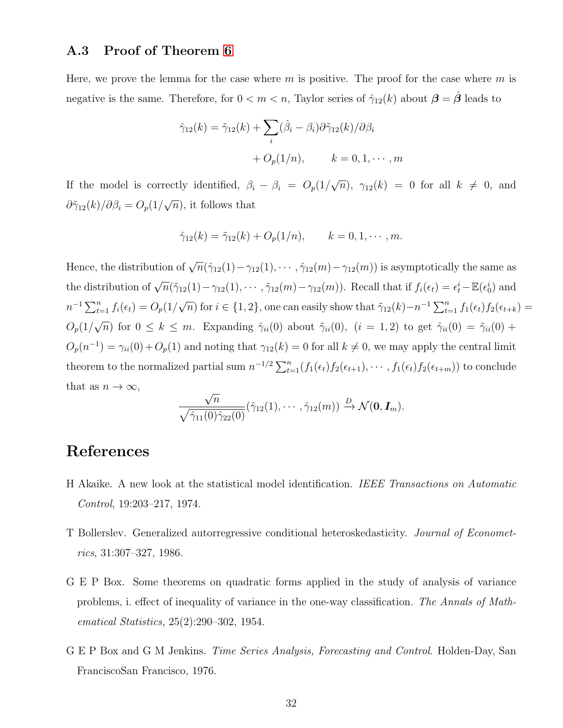#### A.3 Proof of Theorem [6](#page-12-1)

Here, we prove the lemma for the case where  $m$  is positive. The proof for the case where  $m$  is negative is the same. Therefore, for  $0 < m < n$ , Taylor series of  $\hat{\gamma}_{12}(k)$  about  $\boldsymbol{\beta} = \hat{\boldsymbol{\beta}}$  leads to

$$
\hat{\gamma}_{12}(k) = \tilde{\gamma}_{12}(k) + \sum_{i} (\hat{\beta}_{i} - \beta_{i}) \partial \tilde{\gamma}_{12}(k) / \partial \beta_{i}
$$

$$
+ O_{p}(1/n), \qquad k = 0, 1, \cdots, m
$$

If the model is correctly identified,  $\beta_i - \beta_i = O_p(1)$ √  $\overline{n}), \ \gamma_{12}(k) = 0 \ \text{for all} \ k \neq 0, \text{ and}$  $\partial \tilde{\gamma}_{12}(k)/\partial \beta_i = O_p(1/2)$ √  $\overline{n}$ , it follows that

$$
\hat{\gamma}_{12}(k) = \tilde{\gamma}_{12}(k) + O_p(1/n), \qquad k = 0, 1, \cdots, m.
$$

Hence, the distribution of  $\sqrt{n}(\hat{\gamma}_{12}(1) - \gamma_{12}(1), \cdots, \hat{\gamma}_{12}(m) - \gamma_{12}(m))$  is asymptotically the same as the distribution of  $\sqrt{n}(\tilde{\gamma}_{12}(1) - \gamma_{12}(1), \cdots, \tilde{\gamma}_{12}(m) - \gamma_{12}(m))$ . Recall that if  $f_i(\epsilon_t) = \epsilon_t^i - \mathbb{E}(\epsilon_0^i)$  and  $n^{-1} \sum_{t=1}^{n} f_i(\epsilon_t) = O_p(1)$ √  $\overline{n}$ ) for  $i \in \{1, 2\}$ , one can easily show that  $\tilde{\gamma}_{12}(k) - n^{-1} \sum_{t=1}^{n} f_1(\epsilon_t) f_2(\epsilon_{t+k}) =$  $O_p(1/$ √  $\overline{n}$ ) for  $0 \leq k \leq m$ . Expanding  $\hat{\gamma}_{ii}(0)$  about  $\tilde{\gamma}_{ii}(0)$ ,  $(i = 1, 2)$  to get  $\hat{\gamma}_{ii}(0) = \tilde{\gamma}_{ii}(0) + \tilde{\gamma}_{ii}(0)$  $O_p(n^{-1}) = \gamma_{ii}(0) + O_p(1)$  and noting that  $\gamma_{12}(k) = 0$  for all  $k \neq 0$ , we may apply the central limit theorem to the normalized partial sum  $n^{-1/2} \sum_{t=1}^{n} (f_1(\epsilon_t) f_2(\epsilon_{t+1}), \cdots, f_1(\epsilon_t) f_2(\epsilon_{t+m}))$  to conclude that as  $n \to \infty$ ,

$$
\frac{\sqrt{n}}{\sqrt{\hat{\gamma}_{11}(0)\hat{\gamma}_{22}(0)}}(\hat{\gamma}_{12}(1),\cdots,\hat{\gamma}_{12}(m)) \xrightarrow{D} \mathcal{N}(\mathbf{0},\mathbf{I}_m).
$$

# References

- <span id="page-31-3"></span>H Akaike. A new look at the statistical model identification. IEEE Transactions on Automatic Control, 19:203–217, 1974.
- <span id="page-31-0"></span>T Bollerslev. Generalized autorregressive conditional heteroskedasticity. Journal of Econometrics, 31:307–327, 1986.
- <span id="page-31-2"></span>G E P Box. Some theorems on quadratic forms applied in the study of analysis of variance problems, i. effect of inequality of variance in the one-way classification. The Annals of Mathematical Statistics, 25(2):290–302, 1954.
- <span id="page-31-1"></span>G E P Box and G M Jenkins. Time Series Analysis, Forecasting and Control. Holden-Day, San FranciscoSan Francisco, 1976.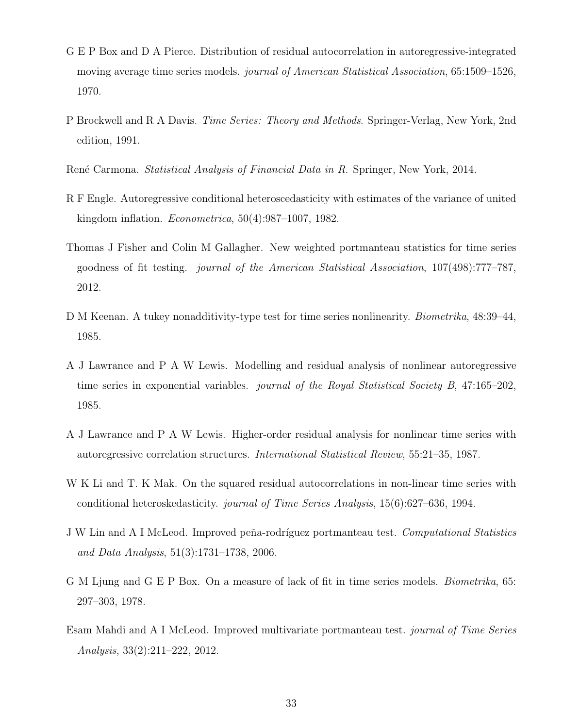- <span id="page-32-2"></span>G E P Box and D A Pierce. Distribution of residual autocorrelation in autoregressive-integrated moving average time series models. *journal of American Statistical Association*, 65:1509–1526, 1970.
- <span id="page-32-8"></span>P Brockwell and R A Davis. Time Series: Theory and Methods. Springer-Verlag, New York, 2nd edition, 1991.

<span id="page-32-1"></span>René Carmona. *Statistical Analysis of Financial Data in R.* Springer, New York, 2014.

- <span id="page-32-0"></span>R F Engle. Autoregressive conditional heteroscedasticity with estimates of the variance of united kingdom inflation. Econometrica, 50(4):987–1007, 1982.
- <span id="page-32-4"></span>Thomas J Fisher and Colin M Gallagher. New weighted portmanteau statistics for time series goodness of fit testing. journal of the American Statistical Association, 107(498):777–787, 2012.
- <span id="page-32-9"></span>D M Keenan. A tukey nonadditivity-type test for time series nonlinearity. *Biometrika*, 48:39–44, 1985.
- <span id="page-32-6"></span>A J Lawrance and P A W Lewis. Modelling and residual analysis of nonlinear autoregressive time series in exponential variables. *journal of the Royal Statistical Society B*, 47:165–202, 1985.
- <span id="page-32-7"></span>A J Lawrance and P A W Lewis. Higher-order residual analysis for nonlinear time series with autoregressive correlation structures. International Statistical Review, 55:21–35, 1987.
- <span id="page-32-5"></span>W K Li and T. K Mak. On the squared residual autocorrelations in non-linear time series with conditional heteroskedasticity. journal of Time Series Analysis, 15(6):627–636, 1994.
- <span id="page-32-10"></span>J W Lin and A I McLeod. Improved peňa-rodríguez portmanteau test. Computational Statistics and Data Analysis, 51(3):1731–1738, 2006.
- <span id="page-32-3"></span>G M Ljung and G E P Box. On a measure of lack of fit in time series models. Biometrika, 65: 297–303, 1978.
- <span id="page-32-11"></span>Esam Mahdi and A I McLeod. Improved multivariate portmanteau test. journal of Time Series Analysis, 33(2):211–222, 2012.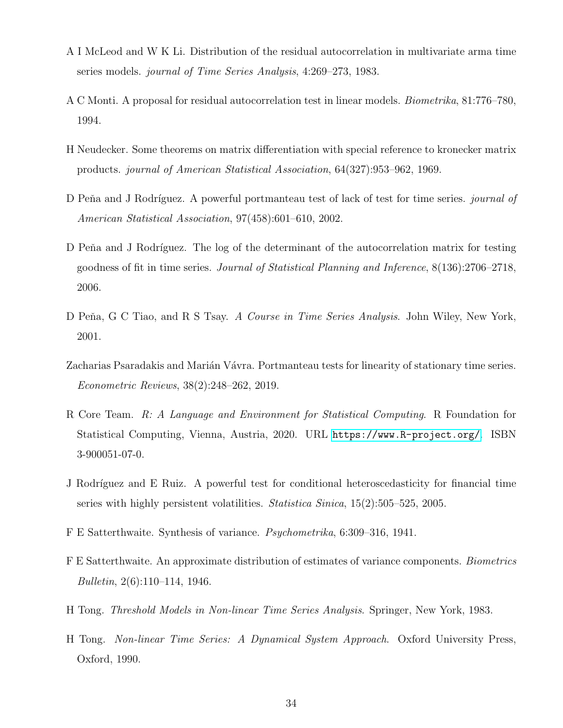- <span id="page-33-4"></span>A I McLeod and W K Li. Distribution of the residual autocorrelation in multivariate arma time series models. journal of Time Series Analysis, 4:269–273, 1983.
- <span id="page-33-1"></span>A C Monti. A proposal for residual autocorrelation test in linear models. Biometrika, 81:776–780, 1994.
- <span id="page-33-7"></span>H Neudecker. Some theorems on matrix differentiation with special reference to kronecker matrix products. journal of American Statistical Association, 64(327):953–962, 1969.
- <span id="page-33-2"></span>D Peña and J Rodríguez. A powerful portmanteau test of lack of test for time series. journal of American Statistical Association, 97(458):601–610, 2002.
- <span id="page-33-3"></span>D Peňa and J Rodríguez. The log of the determinant of the autocorrelation matrix for testing goodness of fit in time series. Journal of Statistical Planning and Inference, 8(136):2706–2718, 2006.
- <span id="page-33-0"></span>D Peňa, G C Tiao, and R S Tsay. A Course in Time Series Analysis. John Wiley, New York, 2001.
- <span id="page-33-6"></span>Zacharias Psaradakis and Marián Vávra. Portmanteau tests for linearity of stationary time series. Econometric Reviews, 38(2):248–262, 2019.
- <span id="page-33-10"></span>R Core Team. R: A Language and Environment for Statistical Computing. R Foundation for Statistical Computing, Vienna, Austria, 2020. URL <https://www.R-project.org/>. ISBN 3-900051-07-0.
- <span id="page-33-5"></span>J Rodríguez and E Ruiz. A powerful test for conditional heteroscedasticity for financial time series with highly persistent volatilities. Statistica Sinica, 15(2):505–525, 2005.
- <span id="page-33-8"></span>F E Satterthwaite. Synthesis of variance. Psychometrika, 6:309–316, 1941.
- <span id="page-33-9"></span>F E Satterthwaite. An approximate distribution of estimates of variance components. Biometrics Bulletin, 2(6):110–114, 1946.
- <span id="page-33-11"></span>H Tong. Threshold Models in Non-linear Time Series Analysis. Springer, New York, 1983.
- <span id="page-33-12"></span>H Tong. Non-linear Time Series: A Dynamical System Approach. Oxford University Press, Oxford, 1990.